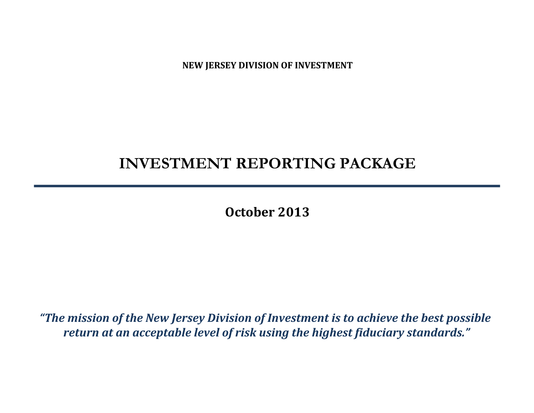**NEW JERSEY DIVISION OF INVESTMENT**

# **INVESTMENT REPORTING PACKAGE**

**October 2013**

*"The mission of the New Jersey Division of Investment is to achieve the best possible return at an acceptable level of risk using the highest fiduciary standards."*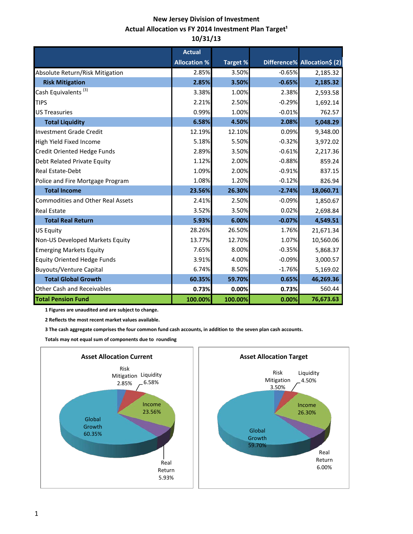# **New Jersey Division of Investment Actual Allocation vs FY 2014 Investment Plan Target<sup>1</sup> 10/31/13**

|                                          | <b>Actual</b>       |                 |          |                              |
|------------------------------------------|---------------------|-----------------|----------|------------------------------|
|                                          | <b>Allocation %</b> | <b>Target %</b> |          | Difference% Allocation\$ (2) |
| Absolute Return/Risk Mitigation          | 2.85%               | 3.50%           | $-0.65%$ | 2,185.32                     |
| <b>Risk Mitigation</b>                   | 2.85%               | 3.50%           | $-0.65%$ | 2,185.32                     |
| Cash Equivalents <sup>(3)</sup>          | 3.38%               | 1.00%           | 2.38%    | 2,593.58                     |
| <b>TIPS</b>                              | 2.21%               | 2.50%           | $-0.29%$ | 1,692.14                     |
| <b>US Treasuries</b>                     | 0.99%               | 1.00%           | $-0.01%$ | 762.57                       |
| <b>Total Liquidity</b>                   | 6.58%               | 4.50%           | 2.08%    | 5,048.29                     |
| <b>Investment Grade Credit</b>           | 12.19%              | 12.10%          | 0.09%    | 9,348.00                     |
| High Yield Fixed Income                  | 5.18%               | 5.50%           | $-0.32%$ | 3,972.02                     |
| Credit Oriented Hedge Funds              | 2.89%               | 3.50%           | $-0.61%$ | 2,217.36                     |
| Debt Related Private Equity              | 1.12%               | 2.00%           | $-0.88%$ | 859.24                       |
| <b>Real Estate-Debt</b>                  | 1.09%               | 2.00%           | $-0.91%$ | 837.15                       |
| Police and Fire Mortgage Program         | 1.08%               | 1.20%           | $-0.12%$ | 826.94                       |
| <b>Total Income</b>                      | 23.56%              | 26.30%          | $-2.74%$ | 18,060.71                    |
| <b>Commodities and Other Real Assets</b> | 2.41%               | 2.50%           | $-0.09%$ | 1,850.67                     |
| <b>Real Estate</b>                       | 3.52%               | 3.50%           | 0.02%    | 2,698.84                     |
| <b>Total Real Return</b>                 | 5.93%               | 6.00%           | $-0.07%$ | 4,549.51                     |
| <b>US Equity</b>                         | 28.26%              | 26.50%          | 1.76%    | 21,671.34                    |
| Non-US Developed Markets Equity          | 13.77%              | 12.70%          | 1.07%    | 10,560.06                    |
| <b>Emerging Markets Equity</b>           | 7.65%               | 8.00%           | $-0.35%$ | 5,868.37                     |
| <b>Equity Oriented Hedge Funds</b>       | 3.91%               | 4.00%           | $-0.09%$ | 3,000.57                     |
| <b>Buyouts/Venture Capital</b>           | 6.74%               | 8.50%           | $-1.76%$ | 5,169.02                     |
| <b>Total Global Growth</b>               | 60.35%              | 59.70%          | 0.65%    | 46,269.36                    |
| <b>Other Cash and Receivables</b>        | 0.73%               | 0.00%           | 0.73%    | 560.44                       |
| <b>Total Pension Fund</b>                | 100.00%             | 100.00%         | 0.00%    | 76,673.63                    |

 **1 Figures are unaudited and are subject to change.**

 **2 Reflects the most recent market values available.**

 **3 The cash aggregate comprises the four common fund cash accounts, in addition to the seven plan cash accounts.**

 **Totals may not equal sum of components due to rounding**

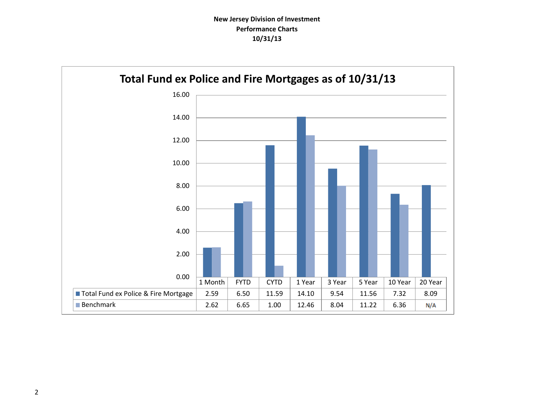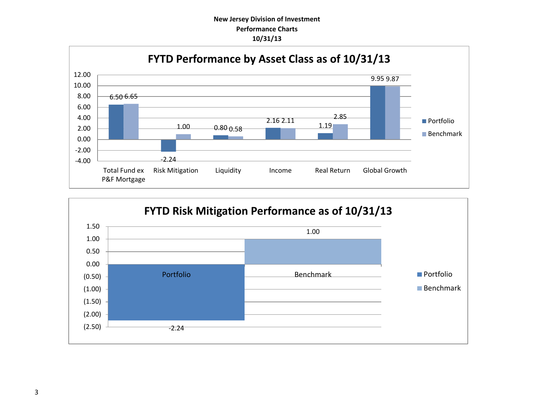## **New Jersey Division of Investment Performance Charts 10/31/13**



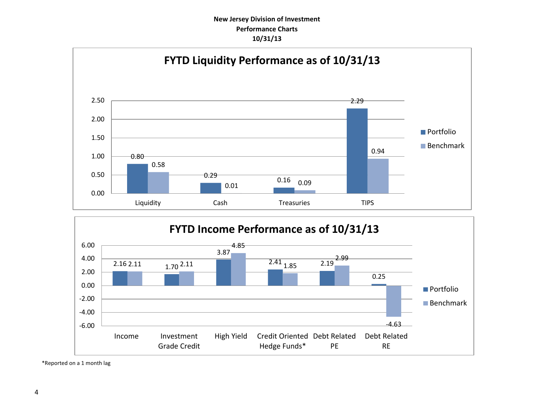## **New Jersey Division of Investment Performance Charts 10/31/13**





\*Reported on a 1 month lag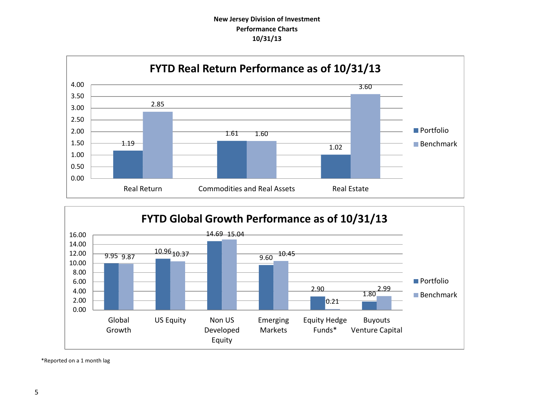# **New Jersey Division of Investment Performance Charts 10/31/13**





\*Reported on a 1 month lag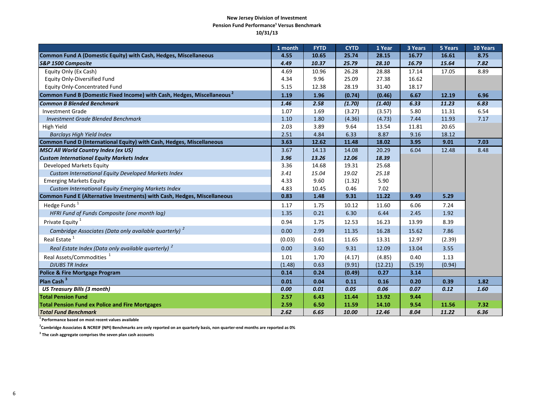#### **New Jersey Division of Investment Pension Fund Performance<sup>1</sup> Versus Benchmark 10/31/13**

|                                                                                     | 1 month | <b>FYTD</b> | <b>CYTD</b> | 1 Year  | 3 Years | 5 Years | 10 Years |
|-------------------------------------------------------------------------------------|---------|-------------|-------------|---------|---------|---------|----------|
| Common Fund A (Domestic Equity) with Cash, Hedges, Miscellaneous                    | 4.55    | 10.65       | 25.74       | 28.15   | 16.77   | 16.61   | 8.75     |
| <b>S&amp;P 1500 Composite</b>                                                       | 4.49    | 10.37       | 25.79       | 28.10   | 16.79   | 15.64   | 7.82     |
| Equity Only (Ex Cash)                                                               | 4.69    | 10.96       | 26.28       | 28.88   | 17.14   | 17.05   | 8.89     |
| <b>Equity Only-Diversified Fund</b>                                                 | 4.34    | 9.96        | 25.09       | 27.38   | 16.62   |         |          |
| <b>Equity Only-Concentrated Fund</b>                                                | 5.15    | 12.38       | 28.19       | 31.40   | 18.17   |         |          |
| Common Fund B (Domestic Fixed Income) with Cash, Hedges, Miscellaneous <sup>2</sup> | 1.19    | 1.96        | (0.74)      | (0.46)  | 6.67    | 12.19   | 6.96     |
| <b>Common B Blended Benchmark</b>                                                   | 1.46    | 2.58        | (1.70)      | (1.40)  | 6.33    | 11.23   | 6.83     |
| <b>Investment Grade</b>                                                             | 1.07    | 1.69        | (3.27)      | (3.57)  | 5.80    | 11.31   | 6.54     |
| Investment Grade Blended Benchmark                                                  | 1.10    | 1.80        | (4.36)      | (4.73)  | 7.44    | 11.93   | 7.17     |
| High Yield                                                                          | 2.03    | 3.89        | 9.64        | 13.54   | 11.81   | 20.65   |          |
| <b>Barclays High Yield Index</b>                                                    | 2.51    | 4.84        | 6.33        | 8.87    | 9.16    | 18.12   |          |
| Common Fund D (International Equity) with Cash, Hedges, Miscellaneous               | 3.63    | 12.62       | 11.48       | 18.02   | 3.95    | 9.01    | 7.03     |
| <b>MSCI All World Country Index (ex US)</b>                                         | 3.67    | 14.13       | 14.08       | 20.29   | 6.04    | 12.48   | 8.48     |
| <b>Custom International Equity Markets Index</b>                                    | 3.96    | 13.26       | 12.06       | 18.39   |         |         |          |
| Developed Markets Equity                                                            | 3.36    | 14.68       | 19.31       | 25.68   |         |         |          |
| Custom International Equity Developed Markets Index                                 | 3.41    | 15.04       | 19.02       | 25.18   |         |         |          |
| <b>Emerging Markets Equity</b>                                                      | 4.33    | 9.60        | (1.32)      | 5.90    |         |         |          |
| Custom International Equity Emerging Markets Index                                  | 4.83    | 10.45       | 0.46        | 7.02    |         |         |          |
| Common Fund E (Alternative Investments) with Cash, Hedges, Miscellaneous            | 0.83    | 1.48        | 9.31        | 11.22   | 9.49    | 5.29    |          |
| Hedge Funds <sup>1</sup>                                                            | 1.17    | 1.75        | 10.12       | 11.60   | 6.06    | 7.24    |          |
| HFRI Fund of Funds Composite (one month lag)                                        | 1.35    | 0.21        | 6.30        | 6.44    | 2.45    | 1.92    |          |
| Private Equity <sup>1</sup>                                                         | 0.94    | 1.75        | 12.53       | 16.23   | 13.99   | 8.39    |          |
| Cambridge Associates (Data only available quarterly) <sup>2</sup>                   | 0.00    | 2.99        | 11.35       | 16.28   | 15.62   | 7.86    |          |
| Real Estate <sup>1</sup>                                                            | (0.03)  | 0.61        | 11.65       | 13.31   | 12.97   | (2.39)  |          |
| Real Estate Index (Data only available quarterly) <sup>2</sup>                      | 0.00    | 3.60        | 9.31        | 12.09   | 13.04   | 3.55    |          |
| Real Assets/Commodities <sup>1</sup>                                                | 1.01    | 1.70        | (4.17)      | (4.85)  | 0.40    | 1.13    |          |
| <b>DJUBS TR Index</b>                                                               | (1.48)  | 0.63        | (9.91)      | (12.21) | (5.19)  | (0.94)  |          |
| <b>Police &amp; Fire Mortgage Program</b>                                           | 0.14    | 0.24        | (0.49)      | 0.27    | 3.14    |         |          |
| Plan Cash <sup>3</sup>                                                              | 0.01    | 0.04        | 0.11        | 0.16    | 0.20    | 0.39    | 1.82     |
| <b>US Treasury Bills (3 month)</b>                                                  | 0.00    | 0.01        | 0.05        | 0.06    | 0.07    | 0.12    | 1.60     |
| <b>Total Pension Fund</b>                                                           | 2.57    | 6.43        | 11.44       | 13.92   | 9.44    |         |          |
| <b>Total Pension Fund ex Police and Fire Mortgages</b>                              | 2.59    | 6.50        | 11.59       | 14.10   | 9.54    | 11.56   | 7.32     |
| <b>Total Fund Benchmark</b>                                                         | 2.62    | 6.65        | 10.00       | 12.46   | 8.04    | 11.22   | 6.36     |

**1 Performance based on most recent values available**

**2 Cambridge Associates & NCREIF (NPI) Benchmarks are only reported on an quarterly basis, non quarter-end months are reported as 0%**

**3 The cash aggregate comprises the seven plan cash accounts**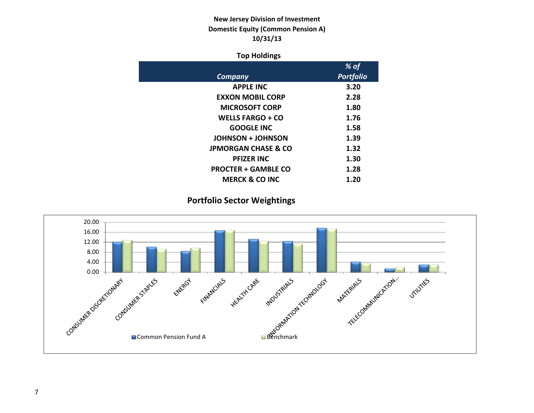# **New Jersey Division of Investment Domestic Equity (Common Pension A) 10/31/13**

## **Top Holdings**

| % of             |
|------------------|
| <b>Portfolio</b> |
| 3.20             |
| 2.28             |
| 1.80             |
| 1.76             |
| 1.58             |
| 1.39             |
| 1.32             |
| 1.30             |
| 1.28             |
| 1.20             |
|                  |

# **Portfolio Sector Weightings**

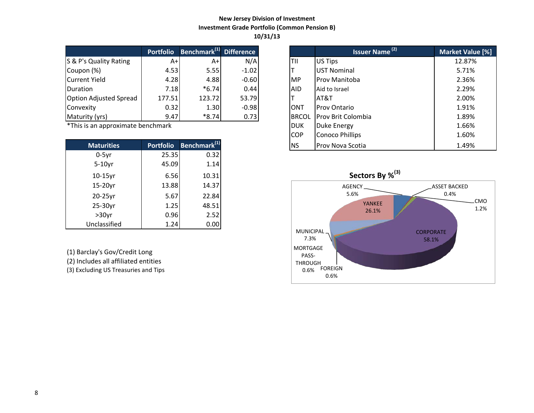## **New Jersey Division of Investment Investment Grade Portfolio (Common Pension B) 10/31/13**

|                               | <b>Portfolio</b> | Benchmark <sup>(1)</sup> Difference |         |              | <b>Issuer Name</b> <sup>(2)</sup> | <b>Market Valu</b> |
|-------------------------------|------------------|-------------------------------------|---------|--------------|-----------------------------------|--------------------|
| S & P's Quality Rating        | A+l              | A+                                  | N/A     | lTII         | US Tips                           | 12.87%             |
| Coupon (%)                    | 4.53             | 5.55                                | $-1.02$ |              | <b>UST Nominal</b>                | 5.71%              |
| Current Yield                 | 4.28             | 4.88                                | $-0.60$ | <b>IMP</b>   | <b>Prov Manitoba</b>              | 2.36%              |
| Duration                      | 7.18             | $*6.74$                             | 0.44    | <b>AID</b>   | Aid to Israel                     | 2.29%              |
| <b>Option Adjusted Spread</b> | 177.51           | 123.72                              | 53.79   |              | AT&T                              | 2.00%              |
| Convexity                     | 0.32             | 1.30                                | $-0.98$ | <b>ONT</b>   | <b>Prov Ontario</b>               | 1.91%              |
| Maturity (yrs)                | 9.47             | $*8.74$                             | 0.73    | <b>BRCOL</b> | <b>Prov Brit Colombia</b>         | 1.89%              |

 $*$ This is an approximate benchmark

| <b>Maturities</b> | <b>Portfolio</b> | Benchmark <sup>(1)</sup> |
|-------------------|------------------|--------------------------|
| $0-5$ yr          | 25.35            | 0.32                     |
| $5-10$ yr         | 45.09            | 1.14                     |
| $10-15$ yr        | 6.56             | 10.31                    |
| 15-20yr           | 13.88            | 14.37                    |
| $20-25$ yr        | 5.67             | 22.84                    |
| 25-30yr           | 1.25             | 48.51                    |
| $>30$ yr          | 0.96             | 2.52                     |
| Unclassified      | 1.24             | 0.00                     |

(1) Barclay's Gov/Credit Long

(2) Includes all affiliated entities

(3) Excluding US Treasuries and Tips

|                          | <b>Portfolio</b> | Benchmark <sup>(1)</sup> Difference |         |              | <b>Issuer Name<sup>(2)</sup></b> | Market Value [%] |
|--------------------------|------------------|-------------------------------------|---------|--------------|----------------------------------|------------------|
| <b>Quality Rating</b>    | $A+$             | $A+$                                | N/A     | TII          | US Tips                          | 12.87%           |
| າ (%)                    | 4.53             | 5.55                                | $-1.02$ |              | <b>UST Nominal</b>               | 5.71%            |
| t Yield                  | 4.28             | 4.88                                | $-0.60$ | IMP.         | Prov Manitoba                    | 2.36%            |
| m                        | 7.18             | $*6.74$                             | 0.44    | <b>AID</b>   | Aid to Israel                    | 2.29%            |
| <b>Adjusted Spread</b>   | 177.51           | 123.72                              | 53.79   |              | AT&T                             | 2.00%            |
| ity                      | 0.32             | 1.30                                | $-0.98$ | <b>ONT</b>   | <b>Prov Ontario</b>              | 1.91%            |
| ty (yrs)                 | 9.47             | $*8.74$                             | 0.73    | <b>BRCOL</b> | <b>Prov Brit Colombia</b>        | 1.89%            |
| an approximate benchmark |                  |                                     |         | <b>DUK</b>   | Duke Energy                      | 1.66%            |
|                          |                  |                                     |         | <b>COP</b>   | <b>Conoco Phillips</b>           | 1.60%            |
| <b>Maturities</b>        | <b>Portfolio</b> | Benchmark <sup>(1)</sup>            |         | <b>NS</b>    | <b>Prov Nova Scotia</b>          | 1.49%            |

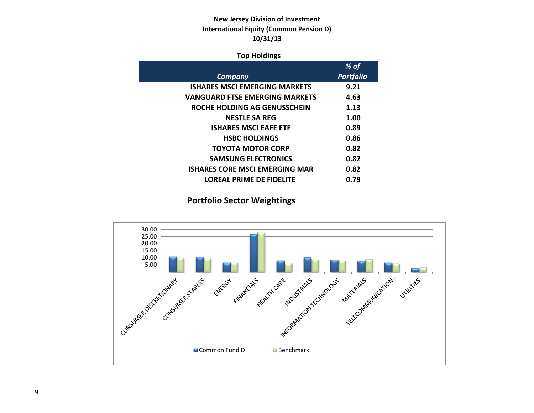# **New Jersey Division of Investment International Equity (Common Pension D) 10/31/13**

## **Top Holdings**

|                                       | $%$ of           |
|---------------------------------------|------------------|
| Company                               | <b>Portfolio</b> |
| <b>ISHARES MSCI EMERGING MARKETS</b>  | 9.21             |
| <b>VANGUARD FTSE EMERGING MARKETS</b> | 4.63             |
| ROCHE HOLDING AG GENUSSCHEIN          | 1.13             |
| <b>NESTLE SA REG</b>                  | 1.00             |
| <b>ISHARES MSCI EAFE ETF</b>          | 0.89             |
| <b>HSBC HOLDINGS</b>                  | 0.86             |
| <b>TOYOTA MOTOR CORP</b>              | 0.82             |
| <b>SAMSUNG ELECTRONICS</b>            | 0.82             |
| ISHARES CORE MSCI EMERGING MAR        | 0.82             |
| LOREAL PRIME DE FIDELITE              | 0.79             |

**Portfolio Sector Weightings**

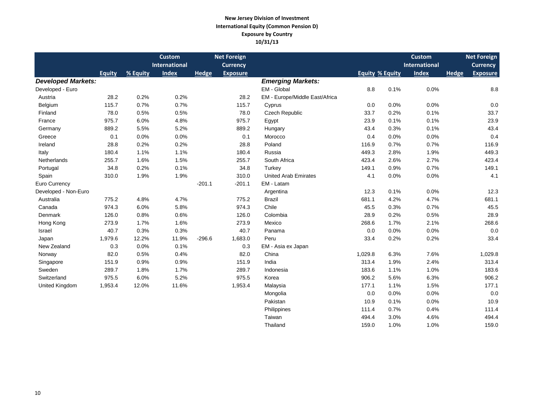#### **New Jersey Division of Investment International Equity (Common Pension D) Exposure by Country 10/31/13**

|                           |         |          | <b>Custom</b>        |              | <b>Net Foreign</b> |                                |                        |      | <b>Custom</b>        |       | <b>Net Foreign</b> |
|---------------------------|---------|----------|----------------------|--------------|--------------------|--------------------------------|------------------------|------|----------------------|-------|--------------------|
|                           |         |          | <b>International</b> |              | <b>Currency</b>    |                                |                        |      | <b>International</b> |       | <b>Currency</b>    |
|                           | Equity  | % Equity | <b>Index</b>         | <b>Hedge</b> | <b>Exposure</b>    |                                | <b>Equity % Equity</b> |      | <b>Index</b>         | Hedge | <b>Exposure</b>    |
| <b>Developed Markets:</b> |         |          |                      |              |                    | <b>Emerging Markets:</b>       |                        |      |                      |       |                    |
| Developed - Euro          |         |          |                      |              |                    | EM - Global                    | 8.8                    | 0.1% | 0.0%                 |       | 8.8                |
| Austria                   | 28.2    | 0.2%     | 0.2%                 |              | 28.2               | EM - Europe/Middle East/Africa |                        |      |                      |       |                    |
| Belgium                   | 115.7   | 0.7%     | 0.7%                 |              | 115.7              | Cyprus                         | 0.0                    | 0.0% | 0.0%                 |       | 0.0                |
| Finland                   | 78.0    | 0.5%     | 0.5%                 |              | 78.0               | Czech Republic                 | 33.7                   | 0.2% | 0.1%                 |       | 33.7               |
| France                    | 975.7   | 6.0%     | 4.8%                 |              | 975.7              | Egypt                          | 23.9                   | 0.1% | 0.1%                 |       | 23.9               |
| Germany                   | 889.2   | 5.5%     | 5.2%                 |              | 889.2              | Hungary                        | 43.4                   | 0.3% | 0.1%                 |       | 43.4               |
| Greece                    | 0.1     | 0.0%     | 0.0%                 |              | 0.1                | Morocco                        | 0.4                    | 0.0% | 0.0%                 |       | 0.4                |
| Ireland                   | 28.8    | 0.2%     | 0.2%                 |              | 28.8               | Poland                         | 116.9                  | 0.7% | 0.7%                 |       | 116.9              |
| Italy                     | 180.4   | 1.1%     | 1.1%                 |              | 180.4              | Russia                         | 449.3                  | 2.8% | 1.9%                 |       | 449.3              |
| Netherlands               | 255.7   | 1.6%     | 1.5%                 |              | 255.7              | South Africa                   | 423.4                  | 2.6% | 2.7%                 |       | 423.4              |
| Portugal                  | 34.8    | 0.2%     | 0.1%                 |              | 34.8               | Turkey                         | 149.1                  | 0.9% | 0.7%                 |       | 149.1              |
| Spain                     | 310.0   | 1.9%     | 1.9%                 |              | 310.0              | <b>United Arab Emirates</b>    | 4.1                    | 0.0% | 0.0%                 |       | 4.1                |
| Euro Currency             |         |          |                      | $-201.1$     | $-201.1$           | EM - Latam                     |                        |      |                      |       |                    |
| Developed - Non-Euro      |         |          |                      |              |                    | Argentina                      | 12.3                   | 0.1% | 0.0%                 |       | 12.3               |
| Australia                 | 775.2   | 4.8%     | 4.7%                 |              | 775.2              | <b>Brazil</b>                  | 681.1                  | 4.2% | 4.7%                 |       | 681.1              |
| Canada                    | 974.3   | 6.0%     | 5.8%                 |              | 974.3              | Chile                          | 45.5                   | 0.3% | 0.7%                 |       | 45.5               |
| Denmark                   | 126.0   | 0.8%     | 0.6%                 |              | 126.0              | Colombia                       | 28.9                   | 0.2% | 0.5%                 |       | 28.9               |
| Hong Kong                 | 273.9   | 1.7%     | 1.6%                 |              | 273.9              | Mexico                         | 268.6                  | 1.7% | 2.1%                 |       | 268.6              |
| Israel                    | 40.7    | 0.3%     | 0.3%                 |              | 40.7               | Panama                         | 0.0                    | 0.0% | 0.0%                 |       | 0.0                |
| Japan                     | 1,979.6 | 12.2%    | 11.9%                | $-296.6$     | 1,683.0            | Peru                           | 33.4                   | 0.2% | 0.2%                 |       | 33.4               |
| New Zealand               | 0.3     | 0.0%     | 0.1%                 |              | 0.3                | EM - Asia ex Japan             |                        |      |                      |       |                    |
| Norway                    | 82.0    | 0.5%     | 0.4%                 |              | 82.0               | China                          | 1,029.8                | 6.3% | 7.6%                 |       | 1,029.8            |
| Singapore                 | 151.9   | 0.9%     | 0.9%                 |              | 151.9              | India                          | 313.4                  | 1.9% | 2.4%                 |       | 313.4              |
| Sweden                    | 289.7   | 1.8%     | 1.7%                 |              | 289.7              | Indonesia                      | 183.6                  | 1.1% | 1.0%                 |       | 183.6              |
| Switzerland               | 975.5   | 6.0%     | 5.2%                 |              | 975.5              | Korea                          | 906.2                  | 5.6% | 6.3%                 |       | 906.2              |
| United Kingdom            | 1,953.4 | 12.0%    | 11.6%                |              | 1,953.4            | Malaysia                       | 177.1                  | 1.1% | 1.5%                 |       | 177.1              |
|                           |         |          |                      |              |                    | Mongolia                       | 0.0                    | 0.0% | 0.0%                 |       | 0.0                |
|                           |         |          |                      |              |                    | Pakistan                       | 10.9                   | 0.1% | 0.0%                 |       | 10.9               |
|                           |         |          |                      |              |                    | Philippines                    | 111.4                  | 0.7% | 0.4%                 |       | 111.4              |
|                           |         |          |                      |              |                    | Taiwan                         | 494.4                  | 3.0% | 4.6%                 |       | 494.4              |

Thailand 159.0 1.0% 1.0% 1.0% 159.0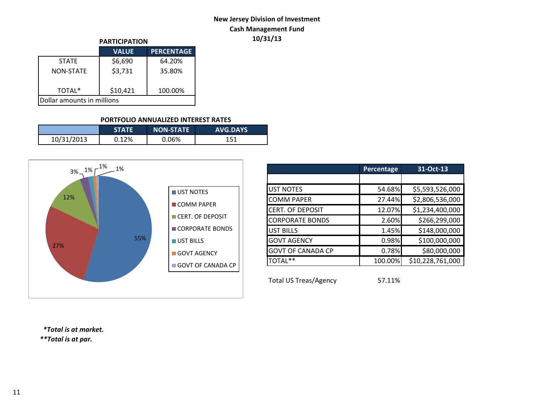# **New Jersey Division of Investment Cash Management Fund 10/31/13**

| <b>PARTICIPATION</b>       |              |                   |  |  |  |  |  |
|----------------------------|--------------|-------------------|--|--|--|--|--|
|                            | <b>VALUE</b> | <b>PERCENTAGE</b> |  |  |  |  |  |
| <b>STATF</b>               | \$6,690      | 64.20%            |  |  |  |  |  |
| NON-STATF                  | \$3,731      | 35.80%            |  |  |  |  |  |
| TOTAL*                     | \$10,421     | 100.00%           |  |  |  |  |  |
| Dollar amounts in millions |              |                   |  |  |  |  |  |

## **PORTFOLIO ANNUALIZED INTEREST RATES**

|            | <b>STATE</b> | <b>INON-STATE</b> | <b>AVG.DAYS</b> |
|------------|--------------|-------------------|-----------------|
| 10/31/2013 | 0.12%        | 0.06%             | 151             |



|                          | Percentage | 31-Oct-13        |
|--------------------------|------------|------------------|
|                          |            |                  |
| <b>UST NOTES</b>         | 54.68%     | \$5,593,526,000  |
| <b>COMM PAPER</b>        | 27.44%     | \$2,806,536,000  |
| <b>CERT. OF DEPOSIT</b>  | 12.07%     | \$1,234,400,000  |
| <b>CORPORATE BONDS</b>   | 2.60%      | \$266,299,000    |
| <b>UST BILLS</b>         | 1.45%      | \$148,000,000    |
| <b>GOVT AGENCY</b>       | 0.98%      | \$100,000,000    |
| <b>GOVT OF CANADA CP</b> | 0.78%      | \$80,000,000     |
| TOTAL**                  | 100.00%    | \$10,228,761,000 |
|                          |            |                  |

Total US Treas/Agency 57.11%

 *\*Total is at market.*

*\*\*Total is at par.*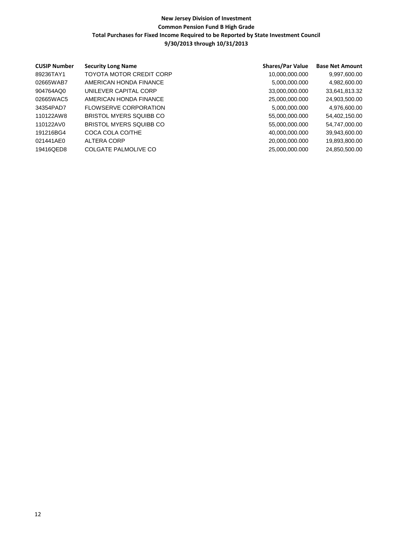| <b>CUSIP Number</b> | <b>Security Long Name</b> | <b>Shares/Par Value</b> | <b>Base Net Amount</b> |
|---------------------|---------------------------|-------------------------|------------------------|
| 89236TAY1           | TOYOTA MOTOR CREDIT CORP  | 10,000,000.000          | 9,997,600.00           |
| 02665WAB7           | AMERICAN HONDA FINANCE    | 5,000,000.000           | 4,982,600.00           |
| 904764AQ0           | UNILEVER CAPITAL CORP     | 33,000,000.000          | 33,641,813.32          |
| 02665WAC5           | AMERICAN HONDA FINANCE    | 25,000,000.000          | 24,903,500.00          |
| 34354PAD7           | FLOWSERVE CORPORATION     | 5,000,000.000           | 4,976,600.00           |
| 110122AW8           | BRISTOL MYERS SQUIBB CO   | 55,000,000.000          | 54,402,150.00          |
| 110122AV0           | BRISTOL MYERS SQUIBB CO   | 55,000,000.000          | 54,747,000.00          |
| 191216BG4           | COCA COLA CO/THE          | 40,000,000.000          | 39,943,600.00          |
| 021441AE0           | ALTERA CORP               | 20,000,000.000          | 19,893,800.00          |
| 19416QED8           | COLGATE PALMOLIVE CO      | 25,000,000.000          | 24,850,500.00          |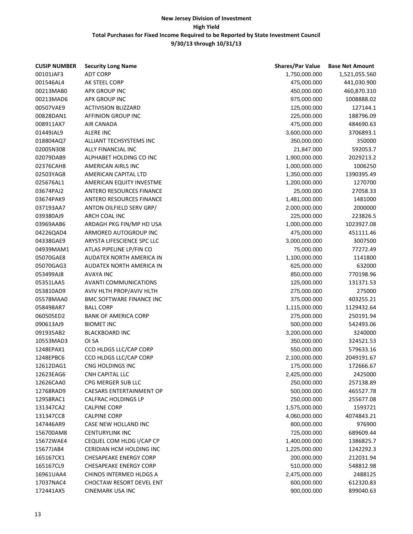| <b>CUSIP NUMBER</b> | <b>Security Long Name</b>       | <b>Shares/Par Value</b> | <b>Base Net Amount</b> |
|---------------------|---------------------------------|-------------------------|------------------------|
| 00101JAF3           | <b>ADT CORP</b>                 | 1,750,000.000           | 1,521,055.560          |
| 001546AL4           | AK STEEL CORP                   | 475,000.000             | 441,030.900            |
| 00213MAB0           | APX GROUP INC                   | 450,000.000             | 460,870.310            |
| 00213MAD6           | <b>APX GROUP INC</b>            | 975,000.000             | 1008888.02             |
| 00507VAE9           | <b>ACTIVISION BLIZZARD</b>      | 125,000.000             | 127144.1               |
| 00828DAN1           | AFFINION GROUP INC              | 225,000.000             | 188796.09              |
| 008911AX7           | AIR CANADA                      | 475,000.000             | 484690.63              |
| 01449JAL9           | <b>ALERE INC</b>                | 3,600,000.000           | 3706893.1              |
| 018804AQ7           | ALLIANT TECHSYSTEMS INC         | 350,000.000             | 350000                 |
| 02005N308           | ALLY FINANCIAL INC              | 21,847.000              | 592053.7               |
| 02079DAB9           | ALPHABET HOLDING CO INC         | 1,900,000.000           | 2029213.2              |
| 02376CAH8           | AMERICAN AIRLS INC              | 1,000,000.000           | 1006250                |
| 02503YAG8           | AMERICAN CAPITAL LTD            | 1,350,000.000           | 1390395.49             |
| 025676AL1           | AMERICAN EQUITY INVESTME        | 1,200,000.000           | 1270700                |
| 03674PAJ2           | <b>ANTERO RESOURCES FINANCE</b> | 25,000.000              | 27058.33               |
| 03674PAK9           | ANTERO RESOURCES FINANCE        | 1,481,000.000           | 1481000                |
| 037193AA7           | ANTON OILFIELD SERV GRP/        | 2,000,000.000           | 2000000                |
| 039380AJ9           | ARCH COAL INC                   | 225,000.000             | 223826.5               |
| 03969AAB6           | ARDAGH PKG FIN/MP HD USA        | 1,000,000.000           | 1023927.08             |
| 04226QAD4           | ARMORED AUTOGROUP INC           | 475,000.000             | 451111.46              |
| 04338GAE9           | ARYSTA LIFESCIENCE SPC LLC      | 3,000,000.000           | 3007500                |
| 04939MAM1           | ATLAS PIPELINE LP/FIN CO        | 75,000.000              | 77272.49               |
| 05070GAE8           | <b>AUDATEX NORTH AMERICA IN</b> | 1,100,000.000           | 1141800                |
| 05070GAG3           | <b>AUDATEX NORTH AMERICA IN</b> | 625,000.000             | 632000                 |
| 053499AJ8           | AVAYA INC                       | 850,000.000             | 770198.96              |
| 05351LAA5           | <b>AVANTI COMMUNICATIONS</b>    | 125,000.000             | 131371.53              |
| 053810AD9           | AVIV HLTH PROP/AVIV HLTH        | 275,000.000             | 275000                 |
| 05578MAA0           | <b>BMC SOFTWARE FINANCE INC</b> | 375,000.000             | 403255.21              |
| 058498AR7           | <b>BALL CORP</b>                | 1,115,000.000           | 1129432.64             |
| 060505ED2           | <b>BANK OF AMERICA CORP</b>     | 275,000.000             | 250191.94              |
| 090613AJ9           | <b>BIOMET INC</b>               | 500,000.000             | 542493.06              |
| 091935AB2           | <b>BLACKBOARD INC</b>           | 3,200,000.000           | 3240000                |
| 10553MAD3           | OI SA                           | 350,000.000             | 324521.53              |
| 1248EPAX1           | CCO HLDGS LLC/CAP CORP          | 550,000.000             | 579633.16              |
| 1248EPBC6           | CCO HLDGS LLC/CAP CORP          | 2,100,000.000           | 2049191.67             |
| 12612DAG1           | CNG HOLDINGS INC                | 175,000.000             | 172666.67              |
| 12623EAG6           | CNH CAPITAL LLC                 | 2,425,000.000           | 2425000                |
| 12626CAA0           | CPG MERGER SUB LLC              | 250,000.000             | 257138.89              |
| 12768RAD9           | <b>CAESARS ENTERTAINMENT OP</b> | 500,000.000             | 465527.78              |
| 12958RAC1           | CALFRAC HOLDINGS LP             | 250,000.000             | 255677.08              |
| 131347CA2           | <b>CALPINE CORP</b>             | 1,575,000.000           | 1593721                |
| 131347CC8           | <b>CALPINE CORP</b>             | 4,060,000.000           | 4074843.21             |
| 147446AR9           | CASE NEW HOLLAND INC            | 800,000.000             | 976900                 |
| 156700AM8           | <b>CENTURYLINK INC</b>          | 725,000.000             | 689609.44              |
| 15672WAE4           | CEQUEL COM HLDG I/CAP CP        | 1,400,000.000           | 1386825.7              |
| 15677JAB4           | CERIDIAN HCM HOLDING INC        | 1,225,000.000           | 1242292.3              |
| 165167CK1           | <b>CHESAPEAKE ENERGY CORP</b>   | 200,000.000             | 212031.94              |
| 165167CL9           | <b>CHESAPEAKE ENERGY CORP</b>   | 510,000.000             | 548812.98              |
| 16961UAA4           | CHINOS INTERMED HLDGS A         | 2,475,000.000           | 2488125                |
| 17037NAC4           | CHOCTAW RESORT DEVEL ENT        | 600,000.000             | 612320.83              |
| 172441AX5           | <b>CINEMARK USA INC</b>         | 900,000.000             | 899040.63              |
|                     |                                 |                         |                        |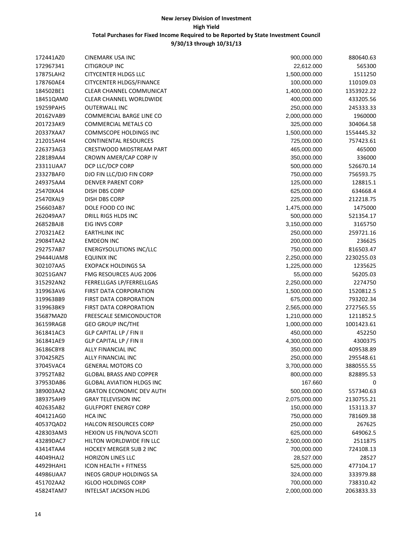| 172441AZ0 | CINEMARK USA INC                 | 900,000.000   | 880640.63  |
|-----------|----------------------------------|---------------|------------|
| 172967341 | CITIGROUP INC                    | 22,612.000    | 565300     |
| 17875LAH2 | <b>CITYCENTER HLDGS LLC</b>      | 1,500,000.000 | 1511250    |
| 178760AE4 | <b>CITYCENTER HLDGS/FINANCE</b>  | 100,000.000   | 110109.03  |
| 184502BE1 | CLEAR CHANNEL COMMUNICAT         | 1,400,000.000 | 1353922.22 |
| 18451QAM0 | CLEAR CHANNEL WORLDWIDE          | 400,000.000   | 433205.56  |
| 19259PAH5 | <b>OUTERWALL INC</b>             | 250,000.000   | 245333.33  |
| 20162VAB9 | COMMERCIAL BARGE LINE CO         | 2,000,000.000 | 1960000    |
| 201723AK9 | COMMERCIAL METALS CO             | 325,000.000   | 304064.58  |
| 20337XAA7 | COMMSCOPE HOLDINGS INC           | 1,500,000.000 | 1554445.32 |
| 212015AH4 | <b>CONTINENTAL RESOURCES</b>     | 725,000.000   | 757423.61  |
| 226373AG3 | CRESTWOOD MIDSTREAM PART         | 465,000.000   | 465000     |
| 228189AA4 | CROWN AMER/CAP CORP IV           | 350,000.000   | 336000     |
| 23311UAA7 | DCP LLC/DCP CORP                 | 500,000.000   | 526670.14  |
| 23327BAF0 | DJO FIN LLC/DJO FIN CORP         | 750,000.000   | 756593.75  |
| 249375AA4 | <b>DENVER PARENT CORP</b>        | 125,000.000   | 128815.1   |
| 25470XAJ4 | DISH DBS CORP                    | 625,000.000   | 634668.4   |
| 25470XAL9 | <b>DISH DBS CORP</b>             | 225,000.000   | 212218.75  |
| 256603AB7 | DOLE FOOD CO INC                 | 1,475,000.000 | 1475000    |
| 262049AA7 | DRILL RIGS HLDS INC              | 500,000.000   | 521354.17  |
| 26852BAJ8 | EIG INVS CORP                    | 3,150,000.000 | 3165750    |
| 270321AE2 | <b>EARTHLINK INC</b>             | 250,000.000   | 259721.16  |
| 29084TAA2 | <b>EMDEON INC</b>                | 200,000.000   | 236625     |
| 292757AB7 | <b>ENERGYSOLUTIONS INC/LLC</b>   | 750,000.000   | 816503.47  |
| 29444UAM8 | EQUINIX INC                      | 2,250,000.000 | 2230255.03 |
| 302107AA5 | <b>EXOPACK HOLDINGS SA</b>       | 1,225,000.000 | 1235625    |
| 30251GAN7 | FMG RESOURCES AUG 2006           | 55,000.000    | 56205.03   |
| 315292AN2 | FERRELLGAS LP/FERRELLGAS         | 2,250,000.000 | 2274750    |
| 319963AV6 | FIRST DATA CORPORATION           | 1,500,000.000 | 1520812.5  |
| 319963BB9 | FIRST DATA CORPORATION           | 675,000.000   | 793202.34  |
| 319963BK9 | FIRST DATA CORPORATION           | 2,565,000.000 | 2727565.55 |
| 35687MAZ0 | <b>FREESCALE SEMICONDUCTOR</b>   | 1,210,000.000 | 1211852.5  |
| 36159RAG8 | <b>GEO GROUP INC/THE</b>         | 1,000,000.000 | 1001423.61 |
| 361841AC3 | GLP CAPITAL LP / FIN II          | 450,000.000   | 452250     |
| 361841AE9 | GLP CAPITAL LP / FIN II          | 4,300,000.000 | 4300375    |
| 36186CBY8 | ALLY FINANCIAL INC               | 350,000.000   | 409538.89  |
| 370425RZ5 | ALLY FINANCIAL INC               | 250,000.000   | 295548.61  |
| 37045VAC4 | <b>GENERAL MOTORS CO</b>         | 3,700,000.000 | 3880555.55 |
| 37952TAB2 | <b>GLOBAL BRASS AND COPPER</b>   | 800,000.000   | 828895.53  |
| 37953DAB6 | <b>GLOBAL AVIATION HLDGS INC</b> | 167.660       | 0          |
| 389003AA2 | <b>GRATON ECONOMIC DEV AUTH</b>  | 500,000.000   | 557340.63  |
| 389375AH9 | <b>GRAY TELEVISION INC</b>       | 2,075,000.000 | 2130755.21 |
| 402635AB2 | <b>GULFPORT ENERGY CORP</b>      | 150,000.000   | 153113.37  |
| 404121AG0 | <b>HCA INC</b>                   | 750,000.000   | 781609.38  |
| 40537QAD2 | <b>HALCON RESOURCES CORP</b>     | 250,000.000   | 267625     |
| 428303AM3 | HEXION US FIN/NOVA SCOTI         | 625,000.000   | 649062.5   |
| 43289DAC7 | HILTON WORLDWIDE FIN LLC         | 2,500,000.000 | 2511875    |
| 43414TAA4 | <b>HOCKEY MERGER SUB 2 INC</b>   | 700,000.000   | 724108.13  |
| 44049HAJ2 | <b>HORIZON LINES LLC</b>         | 28,527.000    | 28527      |
| 44929HAH1 | ICON HEALTH + FITNESS            | 525,000.000   | 477104.17  |
| 44986UAA7 | INEOS GROUP HOLDINGS SA          | 324,000.000   | 333979.88  |
| 451702AA2 | <b>IGLOO HOLDINGS CORP</b>       | 700,000.000   | 738310.42  |
| 45824TAM7 | <b>INTELSAT JACKSON HLDG</b>     | 2,000,000.000 | 2063833.33 |
|           |                                  |               |            |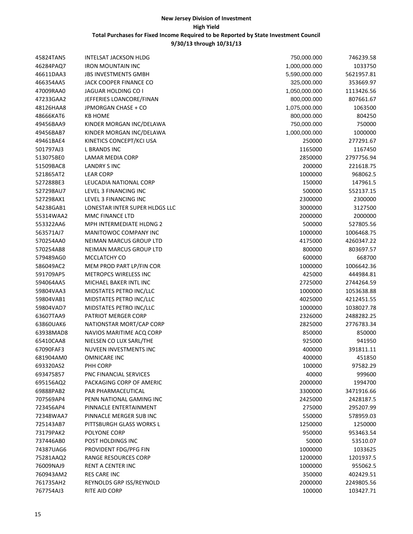| 45824TAN5 | <b>INTELSAT JACKSON HLDG</b>   | 750,000.000   | 746239.58  |
|-----------|--------------------------------|---------------|------------|
| 46284PAQ7 | <b>IRON MOUNTAIN INC</b>       | 1,000,000.000 | 1033750    |
| 46611DAA3 | <b>JBS INVESTMENTS GMBH</b>    | 5,590,000.000 | 5621957.81 |
| 466354AA5 | JACK COOPER FINANCE CO         | 325,000.000   | 353669.97  |
| 47009RAA0 | JAGUAR HOLDING CO I            | 1,050,000.000 | 1113426.56 |
| 47233GAA2 | JEFFERIES LOANCORE/FINAN       | 800,000.000   | 807661.67  |
| 48126HAA8 | JPMORGAN CHASE + CO            | 1,075,000.000 | 1063500    |
| 48666KAT6 | <b>KB HOME</b>                 | 800,000.000   | 804250     |
| 49456BAA9 | KINDER MORGAN INC/DELAWA       | 750,000.000   | 750000     |
| 49456BAB7 | KINDER MORGAN INC/DELAWA       | 1,000,000.000 | 1000000    |
| 49461BAE4 | KINETICS CONCEPT/KCI USA       | 250000        | 277291.67  |
| 501797AJ3 | L BRANDS INC                   | 1165000       | 1167450    |
| 513075BE0 | LAMAR MEDIA CORP               | 2850000       | 2797756.94 |
| 51509BAC8 | LANDRY S INC                   | 200000        | 221618.75  |
| 521865AT2 | <b>LEAR CORP</b>               | 1000000       | 968062.5   |
| 527288BE3 | LEUCADIA NATIONAL CORP         | 150000        | 147961.5   |
| 527298AU7 | LEVEL 3 FINANCING INC          | 500000        | 552137.15  |
| 527298AX1 | LEVEL 3 FINANCING INC          | 2300000       | 2300000    |
| 54238GAB1 | LONESTAR INTER SUPER HLDGS LLC | 3000000       | 3127500    |
| 55314WAA2 | MMC FINANCE LTD                | 2000000       | 2000000    |
| 553322AA6 | MPH INTERMEDIATE HLDNG 2       | 500000        | 527805.56  |
| 563571AJ7 | MANITOWOC COMPANY INC          | 1000000       | 1006468.75 |
| 570254AA0 | NEIMAN MARCUS GROUP LTD        | 4175000       | 4260347.22 |
| 570254AB8 | NEIMAN MARCUS GROUP LTD        | 800000        | 803697.57  |
| 579489AG0 | MCCLATCHY CO                   | 600000        | 668700     |
| 586049AC2 | MEM PROD PART LP/FIN COR       | 1000000       | 1006642.36 |
| 591709AP5 | METROPCS WIRELESS INC          | 425000        | 444984.81  |
| 594064AA5 | MICHAEL BAKER INTL INC         | 2725000       | 2744264.59 |
| 59804VAA3 | MIDSTATES PETRO INC/LLC        | 1000000       | 1053638.88 |
| 59804VAB1 | MIDSTATES PETRO INC/LLC        | 4025000       | 4212451.55 |
| 59804VAD7 | MIDSTATES PETRO INC/LLC        | 1000000       | 1038027.78 |
| 63607TAA9 | PATRIOT MERGER CORP            | 2326000       | 2488282.25 |
| 63860UAK6 | NATIONSTAR MORT/CAP CORP       | 2825000       | 2776783.34 |
| 63938MAD8 | NAVIOS MARITIME ACQ CORP       | 850000        | 850000     |
| 65410CAA8 | NIELSEN CO LUX SARL/THE        | 925000        | 941950     |
| 67090FAF3 | NUVEEN INVESTMENTS INC         | 400000        | 391811.11  |
| 681904AM0 | <b>OMNICARE INC</b>            | 400000        | 451850     |
| 693320AS2 | PHH CORP                       | 100000        | 97582.29   |
| 693475857 | PNC FINANCIAL SERVICES         | 40000         | 999600     |
| 695156AQ2 | PACKAGING CORP OF AMERIC       | 2000000       | 1994700    |
| 69888PAB2 | PAR PHARMACEUTICAL             | 3300000       | 3471916.66 |
| 707569AP4 | PENN NATIONAL GAMING INC       | 2425000       | 2428187.5  |
| 723456AP4 | PINNACLE ENTERTAINMENT         | 275000        | 295207.99  |
| 72348WAA7 | PINNACLE MERGER SUB INC        | 550000        | 578959.03  |
| 725143AB7 | PITTSBURGH GLASS WORKS L       | 1250000       | 1250000    |
| 73179PAK2 | POLYONE CORP                   | 950000        | 953463.54  |
| 737446AB0 | POST HOLDINGS INC              | 50000         | 53510.07   |
| 74387UAG6 | PROVIDENT FDG/PFG FIN          | 1000000       | 1033625    |
| 75281AAQ2 | RANGE RESOURCES CORP           | 1200000       | 1201937.5  |
| 76009NAJ9 | RENT A CENTER INC              | 1000000       | 955062.5   |
| 760943AM2 | <b>RES CARE INC</b>            | 350000        | 402429.51  |
| 761735AH2 | REYNOLDS GRP ISS/REYNOLD       | 2000000       | 2249805.56 |
| 767754AJ3 | RITE AID CORP                  | 100000        | 103427.71  |
|           |                                |               |            |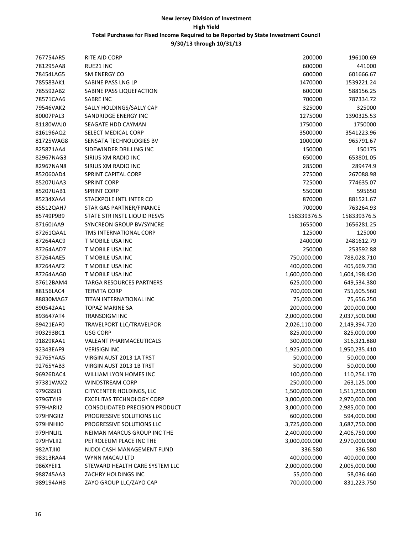| 767754AR5 | RITE AID CORP                         | 200000        | 196100.69     |
|-----------|---------------------------------------|---------------|---------------|
| 781295AA8 | RUE21 INC                             | 600000        | 441000        |
| 78454LAG5 | <b>SM ENERGY CO</b>                   | 600000        | 601666.67     |
| 785583AK1 | SABINE PASS LNG LP                    | 1470000       | 1539221.24    |
| 785592AB2 | SABINE PASS LIQUEFACTION              | 600000        | 588156.25     |
| 78571CAA6 | SABRE INC                             | 700000        | 787334.72     |
| 79546VAK2 | SALLY HOLDINGS/SALLY CAP              | 325000        | 325000        |
| 80007PAL3 | SANDRIDGE ENERGY INC                  | 1275000       | 1390325.53    |
| 81180WAJ0 | SEAGATE HDD CAYMAN                    | 1750000       | 1750000       |
| 816196AQ2 | <b>SELECT MEDICAL CORP</b>            | 3500000       | 3541223.96    |
| 81725WAG8 | SENSATA TECHNOLOGIES BV               | 1000000       | 965791.67     |
| 825871AA4 | SIDEWINDER DRILLING INC               | 150000        | 150175        |
| 82967NAG3 | SIRIUS XM RADIO INC                   | 650000        | 653801.05     |
| 82967NAN8 | SIRIUS XM RADIO INC                   | 285000        | 289474.9      |
| 852060AD4 | <b>SPRINT CAPITAL CORP</b>            | 275000        | 267088.98     |
| 85207UAA3 | <b>SPRINT CORP</b>                    | 725000        | 774635.07     |
| 85207UAB1 | <b>SPRINT CORP</b>                    | 550000        | 595650        |
| 85234XAA4 | STACKPOLE INTL INTER CO               | 870000        | 881521.67     |
| 85512QAH7 | STAR GAS PARTNER/FINANCE              | 700000        | 763264.93     |
| 85749P9B9 | STATE STR INSTL LIQUID RESVS          | 158339376.5   | 158339376.5   |
| 87160JAA9 | SYNCREON GROUP BV/SYNCRE              | 1655000       | 1656281.25    |
| 87261QAA1 | TMS INTERNATIONAL CORP                | 125000        | 125000        |
| 87264AAC9 | T MOBILE USA INC                      | 2400000       | 2481612.79    |
| 87264AAD7 | T MOBILE USA INC                      | 250000        | 253592.88     |
| 87264AAE5 | T MOBILE USA INC                      | 750,000.000   | 788,028.710   |
| 87264AAF2 | T MOBILE USA INC                      | 400,000.000   | 405,669.730   |
| 87264AAG0 | T MOBILE USA INC                      | 1,600,000.000 | 1,604,198.420 |
| 87612BAM4 | TARGA RESOURCES PARTNERS              | 625,000.000   | 649,534.380   |
| 88156LAC4 | <b>TERVITA CORP</b>                   | 700,000.000   | 751,605.560   |
| 88830MAG7 | TITAN INTERNATIONAL INC               | 75,000.000    | 75,656.250    |
| 890542AA1 | TOPAZ MARINE SA                       | 200,000.000   | 200,000.000   |
| 893647AT4 | TRANSDIGM INC                         | 2,000,000.000 | 2,037,500.000 |
| 89421EAF0 | TRAVELPORT LLC/TRAVELPOR              | 2,026,110.000 | 2,149,394.720 |
| 903293BC1 | <b>USG CORP</b>                       | 825,000.000   | 825,000.000   |
| 91829KAA1 | <b>VALEANT PHARMACEUTICALS</b>        | 300,000.000   | 316,321.880   |
| 92343EAF9 | <b>VERISIGN INC</b>                   | 1,925,000.000 | 1,950,235.410 |
| 92765YAA5 | VIRGIN AUST 2013 1A TRST              | 50,000.000    | 50,000.000    |
| 92765YAB3 | VIRGIN AUST 2013 1B TRST              | 50,000.000    | 50,000.000    |
| 96926DAC4 | WILLIAM LYON HOMES INC                | 100,000.000   | 110,254.170   |
| 97381WAX2 | <b>WINDSTREAM CORP</b>                | 250,000.000   | 263,125.000   |
| 979GSSII3 | CITYCENTER HOLDINGS, LLC              | 1,500,000.000 | 1,511,250.000 |
| 979GTYII9 | <b>EXCELITAS TECHNOLOGY CORP</b>      | 3,000,000.000 | 2,970,000.000 |
| 979HARII2 | <b>CONSOLIDATED PRECISION PRODUCT</b> | 3,000,000.000 | 2,985,000.000 |
| 979HNGII2 | PROGRESSIVE SOLUTIONS LLC             | 600,000.000   | 594,000.000   |
| 979HNHII0 | PROGRESSIVE SOLUTIONS LLC             | 3,725,000.000 | 3,687,750.000 |
| 979HNLII1 | NEIMAN MARCUS GROUP INC THE           | 2,400,000.000 | 2,406,750.000 |
| 979HVLII2 | PETROLEUM PLACE INC THE               | 3,000,000.000 | 2,970,000.000 |
| 982ATJII0 | NJDOI CASH MANAGEMENT FUND            | 336.580       | 336.580       |
| 98313RAA4 | WYNN MACAU LTD                        | 400,000.000   | 400,000.000   |
| 986XYEII1 | STEWARD HEALTH CARE SYSTEM LLC        | 2,000,000.000 | 2,005,000.000 |
| 988745AA3 | ZACHRY HOLDINGS INC                   | 55,000.000    | 58,036.460    |
| 989194AH8 | ZAYO GROUP LLC/ZAYO CAP               | 700,000.000   | 831,223.750   |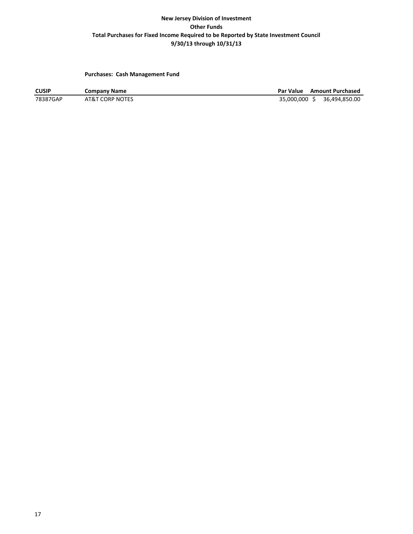**Purchases: Cash Management Fund**

**CUSIP Company Name Par Value Amount Purchased**<br> **Par Value Amount Purchased**<br> **Par Value Amount Purchased**<br> **Par Value Amount Purchased**<br> **Par Value Amount Purchased** 35,000,000 \$ 36,494,850.00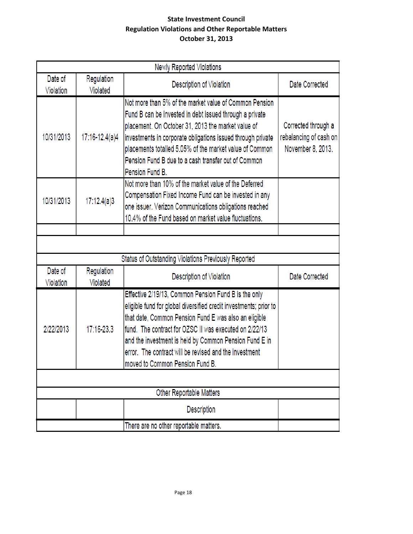# **State Investment Council Regulation Violations and Other Reportable Matters October 31, 2013**

|                      | Newly Reported Violations |                                                                                                                                                                                                                                                                                                                                                                                                     |                                                                    |  |  |  |  |  |  |  |  |
|----------------------|---------------------------|-----------------------------------------------------------------------------------------------------------------------------------------------------------------------------------------------------------------------------------------------------------------------------------------------------------------------------------------------------------------------------------------------------|--------------------------------------------------------------------|--|--|--|--|--|--|--|--|
| Date of<br>Violation | Regulation<br>Violated    | Description of Violation                                                                                                                                                                                                                                                                                                                                                                            | Date Corrected                                                     |  |  |  |  |  |  |  |  |
| 10/31/2013           | 17:16-12.4(a)4            | Not more than 5% of the market value of Common Pension<br>Fund B can be invested in debt issued through a private<br>placement. On October 31, 2013 the market value of<br>investments in corporate obligations issued through private<br>placements totalled 5.05% of the market value of Common<br>Pension Fund B due to a cash transfer out of Common<br>Pension Fund B.                         | Corrected through a<br>rebalancing of cash on<br>November 8, 2013. |  |  |  |  |  |  |  |  |
| 10/31/2013           | 17:12.4(a)3               | Not more than 10% of the market value of the Deferred<br>Compensation Fixed Income Fund can be invested in any<br>one issuer. Verizon Communications obligations reached<br>10.4% of the Fund based on market value fluctuations.                                                                                                                                                                   |                                                                    |  |  |  |  |  |  |  |  |
|                      |                           |                                                                                                                                                                                                                                                                                                                                                                                                     |                                                                    |  |  |  |  |  |  |  |  |
|                      |                           |                                                                                                                                                                                                                                                                                                                                                                                                     |                                                                    |  |  |  |  |  |  |  |  |
|                      |                           | Status of Outstanding Violations Previously Reported                                                                                                                                                                                                                                                                                                                                                |                                                                    |  |  |  |  |  |  |  |  |
| Date of<br>Violation | Regulation<br>Violated    | Description of Violation                                                                                                                                                                                                                                                                                                                                                                            | Date Corrected                                                     |  |  |  |  |  |  |  |  |
| 2/22/2013            | 17:16-23.3                | Effective 2/19/13, Common Pension Fund B is the only<br>eligible fund for global diversified credit investments; prior to<br>that date, Common Pension Fund E was also an eligible<br>fund. The contract for OZSC II was executed on 2/22/13<br>and the investment is held by Common Pension Fund E in<br>error. The contract will be revised and the investment<br>moved to Common Pension Fund B. |                                                                    |  |  |  |  |  |  |  |  |
|                      |                           |                                                                                                                                                                                                                                                                                                                                                                                                     |                                                                    |  |  |  |  |  |  |  |  |
|                      |                           | Other Reportable Matters                                                                                                                                                                                                                                                                                                                                                                            |                                                                    |  |  |  |  |  |  |  |  |
|                      |                           | Description                                                                                                                                                                                                                                                                                                                                                                                         |                                                                    |  |  |  |  |  |  |  |  |
|                      |                           | There are no other reportable matters.                                                                                                                                                                                                                                                                                                                                                              |                                                                    |  |  |  |  |  |  |  |  |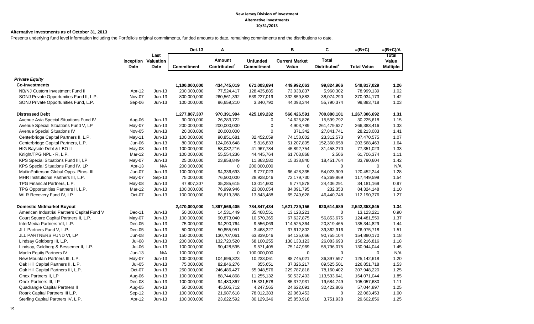#### **New Jersey Division of Investment Alternative Investments 10/31/2013**

#### **Alternative Investments as of October 31, 2013**

Presents underlying fund level information including the Portfolio's original commitments, funded amounts to date, remaining commitments and the distributions to date.

|                                             |          |                                     | <b>Oct-13</b> | Α                                  |                                      | в                              | C                                        | $=(B+C)$           | $=(B+C)/A$                        |
|---------------------------------------------|----------|-------------------------------------|---------------|------------------------------------|--------------------------------------|--------------------------------|------------------------------------------|--------------------|-----------------------------------|
|                                             | Date     | Last<br>Inception Valuation<br>Date | Commitment    | Amount<br>Contributed <sup>1</sup> | <b>Unfunded</b><br><b>Commitment</b> | <b>Current Market</b><br>Value | <b>Total</b><br>Distributed <sup>2</sup> | <b>Total Value</b> | Total<br>Value<br><b>Multiple</b> |
| <b>Private Equity</b>                       |          |                                     |               |                                    |                                      |                                |                                          |                    |                                   |
| <b>Co-Investments</b>                       |          |                                     | 1,100,000,000 | 434,745,019                        | 671,003,694                          | 449,992,063                    | 99,824,966                               | 549,817,029        | 1.26                              |
| NB/NJ Custom Investment Fund II             | Apr-12   | $Jun-13$                            | 200,000,000   | 77,524,417                         | 128,435,885                          | 73,038,837                     | 5,960,302                                | 78,999,139         | 1.02                              |
| SONJ Private Opportunities Fund II, L.P.    | Nov-07   | $Jun-13$                            | 800,000,000   | 260,561,392                        | 539,227,019                          | 332,859,883                    | 38,074,290                               | 370,934,173        | 1.42                              |
| SONJ Private Opportunities Fund, L.P.       | Sep-06   | $Jun-13$                            | 100,000,000   | 96,659,210                         | 3,340,790                            | 44,093,344                     | 55,790,374                               | 99,883,718         | 1.03                              |
| <b>Distressed Debt</b>                      |          |                                     | 1,277,807,307 | 970,391,994                        | 425,109,232                          | 566,426,591                    | 700,880,101                              | 1,267,306,692      | 1.31                              |
| Avenue Asia Special Situations Fund IV      | Aug-06   | $Jun-13$                            | 30,000,000    | 26,283,722                         | $\mathbf 0$                          | 14,625,826                     | 15,599,792                               | 30,225,618         | 1.15                              |
| Avenue Special Situations Fund V, LP        | May-07   | $Jun-13$                            | 200,000,000   | 200,000,000                        | $\mathbf 0$                          | 4,903,789                      | 261,479,627                              | 266,383,416        | 1.33                              |
| Avenue Special Situations IV                | Nov-05   | Jun-13                              | 20,000,000    | 20,000,000                         | $\mathbf 0$                          | 371,342                        | 27,841,741                               | 28,213,083         | 1.41                              |
| Centerbridge Capital Partners II, L.P.      | May-11   | $Jun-13$                            | 100,000,000   | 90,851,681                         | 32,452,059                           | 74,158,002                     | 23,312,573                               | 97,470,575         | 1.07                              |
| Centerbridge Capital Partners, L.P.         | Jun-06   | $Jun-13$                            | 80,000,000    | 124,069,648                        | 5,816,833                            | 51,207,805                     | 152,360,658                              | 203,568,463        | 1.64                              |
| HIG Bayside Debt & LBO II                   | May-08   | $Jun-13$                            | 100,000,000   | 58,032,216                         | 41,967,784                           | 45,892,754                     | 31,458,270                               | 77,351,023         | 1.33                              |
| Knight/TPG NPL - R, L.P.                    | Mar-12   | $Jun-13$                            | 100,000,000   | 55,554,236                         | 44,445,764                           | 61,703,868                     | 2,506                                    | 61,706,374         | 1.11                              |
| KPS Special Situations Fund III, LP         | May-07   | Jun-13                              | 25,000,000    | 23,858,849                         | 11,863,580                           | 15,338,840                     | 18,451,764                               | 33,790,604         | 1.42                              |
| KPS Special Situations Fund IV, LP          | Apr-13   | N/A                                 | 200,000,000   | $\mathbf 0$                        | 200,000,000                          | $\mathbf 0$                    | $\mathbf 0$                              | $\Omega$           | N/A                               |
| MatlinPatterson Global Opps. Ptnrs. III     | Jun-07   | $Jun-13$                            | 100,000,000   | 94,336,693                         | 9,777,023                            | 66,428,335                     | 54,023,909                               | 120,452,244        | 1.28                              |
| MHR Institutional Partners III, L.P.        | May-07   | Sep-13                              | 75,000,000    | 76,500,000                         | 28,928,046                           | 72,179,730                     | 45,269,869                               | 117,449,599        | 1.54                              |
| TPG Financial Partners, L.P.                | May-08   | $Jun-13$                            | 47,807,307    | 35,285,615                         | 13,014,600                           | 9,774,878                      | 24,406,291                               | 34, 181, 169       | 0.97                              |
| TPG Opportunities Partners II, L.P.         | Mar-12   | $Jun-13$                            | 100,000,000   | 76,999,946                         | 23,000,054                           | 84,091,795                     | 232,353                                  | 84,324,148         | 1.10                              |
| WLR Recovery Fund IV, LP                    | Oct-07   | $Jun-13$                            | 100,000,000   | 88,619,388                         | 13,843,488                           | 65,749,628                     | 46,440,748                               | 112,190,376        | 1.27                              |
| <b>Domestic Midmarket Buyout</b>            |          |                                     | 2,470,000,000 | 1,897,569,405                      | 784,847,434                          | 1,621,739,156                  | 920,614,689                              | 2,542,353,845      | 1.34                              |
| American Industrial Partners Capital Fund V | Dec-11   | Jun-13                              | 50,000,000    | 14,531,449                         | 35,468,551                           | 13,123,221                     | $\mathbf 0$                              | 13,123,221         | 0.90                              |
| Court Square Capital Partners II, L.P.      | May-07   | $Jun-13$                            | 100,000,000   | 90,873,040                         | 10,570,365                           | 67,627,875                     | 56,853,675                               | 124,481,550        | 1.37                              |
| InterMedia Partners VII, L.P.               | $Dec-05$ | $Jun-13$                            | 75,000,000    | 94,290,764                         | 9,556,069                            | 114,525,364                    | 20,819,465                               | 135,344,829        | 1.44                              |
| JLL Partners Fund V, L.P.                   | Dec-05   | $Jun-13$                            | 50,000,000    | 50,855,951                         | 3,468,327                            | 37,612,802                     | 39,362,916                               | 76,975,718         | 1.51                              |
| JLL PARTNERS FUND VI, LP                    | Jun-08   | $Jun-13$                            | 150,000,000   | 130,707,061                        | 63,839,046                           | 64,125,066                     | 90,755,104                               | 154,880,170        | 1.18                              |
| Lindsay Goldberg III, L.P.                  | Jul-08   | $Jun-13$                            | 200,000,000   | 132,720,520                        | 68,100,255                           | 130, 133, 123                  | 26,083,693                               | 156,216,816        | 1.18                              |
| Lindsay, Goldberg & Bessemer II, L.P.       | Jul-06   | $Jun-13$                            | 100,000,000   | 90,428,595                         | 9,571,405                            | 75,147,969                     | 55,796,075                               | 130,944,044        | 1.45                              |
| Marlin Equity Partners IV                   | $Jun-13$ | N/A                                 | 100,000,000   | $\mathbf 0$                        | 100,000,000                          | $\mathbf 0$                    | $\mathbf 0$                              | $\Omega$           | N/A                               |
| New Mountain Partners III, L.P.             | May-07   | $Jun-13$                            | 100,000,000   | 104,696,323                        | 10,233,061                           | 88,745,021                     | 36,397,597                               | 125,142,618        | 1.20                              |
| Oak Hill Capital Partners II, L.P.          | $Jul-05$ | $Jun-13$                            | 75,000,000    | 82,846,276                         | 855,651                              | 37,326,217                     | 89,525,501                               | 126,851,718        | 1.53                              |
| Oak Hill Capital Partners III, L.P.         | Oct-07   | $Jun-13$                            | 250,000,000   | 246,486,427                        | 65,948,576                           | 229,787,818                    | 78,160,402                               | 307,948,220        | 1.25                              |
| Onex Partners II, LP                        | Aug-06   | $Jun-13$                            | 100,000,000   | 88,744,868                         | 11,255,132                           | 50,537,403                     | 113,533,641                              | 164,071,044        | 1.85                              |
| Onex Partners III, LP                       | Dec-08   | $Jun-13$                            | 100,000,000   | 94,480,867                         | 15,331,578                           | 85,372,931                     | 19,684,749                               | 105,057,680        | 1.11                              |
| Quadrangle Capital Partners II              | Aug-05   | $Jun-13$                            | 50,000,000    | 45,505,712                         | 4,247,565                            | 24,622,091                     | 32,422,806                               | 57,044,897         | 1.25                              |
| Roark Capital Partners III L.P.             | Sep-12   | Jun-13                              | 100,000,000   | 21,987,618                         | 78,012,383                           | 22,063,453                     | 0                                        | 22,063,453         | 1.00                              |
| Sterling Capital Partners IV, L.P.          | Apr-12   | $Jun-13$                            | 100,000,000   | 23,622,592                         | 80,129,346                           | 25,850,918                     | 3,751,938                                | 29,602,856         | 1.25                              |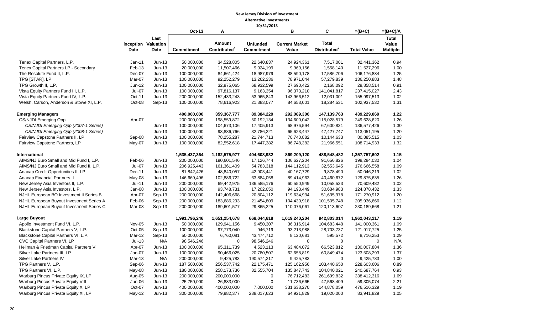#### **New Jersey Division of Investment Alternative Investments**

|                                          |                    |                                            | 10/31/2013                  |                                           |                               |                                |                                          |                              |                                   |
|------------------------------------------|--------------------|--------------------------------------------|-----------------------------|-------------------------------------------|-------------------------------|--------------------------------|------------------------------------------|------------------------------|-----------------------------------|
|                                          |                    |                                            | Oct-13                      | A                                         |                               | в                              | C                                        | $=(B+C)$                     | $=(B+C)/A$                        |
|                                          | Date               | Last<br><b>Inception Valuation</b><br>Date | Commitment                  | <b>Amount</b><br>Contributed <sup>1</sup> | <b>Unfunded</b><br>Commitment | <b>Current Market</b><br>Value | <b>Total</b><br>Distributed <sup>2</sup> | <b>Total Value</b>           | Total<br>Value<br><b>Multiple</b> |
|                                          |                    |                                            |                             |                                           |                               |                                |                                          |                              |                                   |
| Tenex Capital Partners, L.P.             | $Jan-11$<br>Feb-13 | $Jun-13$                                   | 50,000,000                  | 34,528,805                                | 22,640,837<br>9,924,199       | 24,924,361                     | 7,517,001                                | 32,441,362<br>11,527,296     | 0.94<br>1.00                      |
| Tenex Capital Partners LP - Secondary    |                    | $Jun-13$                                   | 20,000,000                  | 11,507,466                                | 18,987,979                    | 9,969,156                      | 1,558,140                                |                              | 1.25                              |
| The Resolute Fund II, L.P.               | Dec-07             | $Jun-13$                                   | 100,000,000                 | 84,661,424                                |                               | 88,590,178                     | 17,586,706                               | 106,176,884                  |                                   |
| TPG [STAR], LP                           | Mar-07             | $Jun-13$                                   | 100,000,000                 | 92,252,279                                | 13,262,236                    | 78,971,044                     | 57,279,839                               | 136,250,883                  | 1.48                              |
| TPG Growth II, L.P.                      | Jun-12             | $Jun-13$                                   | 100,000,000                 | 32,975,065                                | 68,932,599                    | 27,690,422                     | 2,168,092                                | 29,858,514                   | 0.91                              |
| Vista Equity Partners Fund III, L.P.     | Jul-07             | $Jun-13$                                   | 100,000,000                 | 97,816,137                                | 9,163,354                     | 96,373,210                     | 141,041,817                              | 237,415,027                  | 2.43                              |
| Vista Equity Partners Fund IV, L.P.      | Oct-11             | $Jun-13$                                   | 200,000,000                 | 152,433,243                               | 53,965,843                    | 143,966,512                    | 12,031,001                               | 155,997,513                  | 1.02                              |
| Welsh, Carson, Anderson & Stowe XI, L.P. | Oct-08             | Sep-13                                     | 100,000,000                 | 78,616,923                                | 21,383,077                    | 84,653,001                     | 18,284,531                               | 102,937,532                  | 1.31                              |
| <b>Emerging Managers</b>                 |                    |                                            | 400,000,000                 | 359,367,777                               | 89,384,229                    | 292,089,306                    | 147,139,763                              | 439,229,069                  | 1.22                              |
| CS/NJDI Emerging Opp                     | Apr-07             |                                            | 200,000,000                 | 198,559,872                               | 50,192,134                    | 134,600,042                    | 115,028,579                              | 249,628,620                  | 1.26                              |
| CS/NJDI Emerging Opp (2007-1 Series)     |                    | $Jun-13$                                   | 100,000,000                 | 104,673,106                               | 17,405,913                    | 68,976,594                     | 67,600,831                               | 136,577,426                  | 1.30                              |
| CS/NJDI Emerging Opp (2008-1 Series)     |                    | $Jun-13$                                   | 100,000,000                 | 93,886,766                                | 32,786,221                    | 65,623,447                     | 47,427,747                               | 113,051,195                  | 1.20                              |
| Fairview Capstone Partners II, LP        | Sep-08             | $Jun-13$                                   | 100,000,000                 | 78,255,287                                | 21,744,713                    | 70,740,882                     | 10,144,633                               | 80,885,515                   | 1.03                              |
| Fairview Capstone Partners, LP           | May-07             | $Jun-13$                                   | 100,000,000                 | 82,552,618                                | 17,447,382                    | 86,748,382                     | 21,966,551                               | 108,714,933                  | 1.32                              |
| International                            |                    |                                            | 1,535,437,364               | 1,182,575,977                             | 404,608,932                   | 869,209,120                    | 488,548,482                              | 1,357,757,602                | 1.15                              |
| AIMS/NJ Euro Small and Mid Fund I, L.P.  | Feb-06             | $Jun-13$                                   | 200,000,000                 | 190,601,546                               | 17,126,744                    | 106,627,204                    | 91,656,826                               | 198,284,030                  | 1.04                              |
| AIMS/NJ Euro Small and Mid Fund II, L.P. | Jul-07             | $Jun-13$                                   | 206,925,443                 | 161,361,409                               | 54,783,318                    | 144,112,913                    | 32,553,645                               | 176,666,558                  | 1.09                              |
| Anacap Credit Opportunities II, LP       | Dec-11             | $Jun-13$                                   | 81,842,426                  | 48,840,057                                | 42,903,441                    | 40,167,729                     | 9,878,490                                | 50,046,219                   | 1.02                              |
| Anacap Financial Partners II             | May-08             | $Jun-13$                                   | 146,669,496                 | 102,886,722                               | 63,884,058                    | 89,414,963                     | 40,460,672                               | 129,875,635                  | 1.26                              |
| New Jersey Asia Investors II, L.P.       | $Jul-11$           | $Jun-13$                                   | 200,000,000                 | 69,442,975                                | 136,585,176                   | 60,550,949                     | 10,058,533                               | 70,609,482                   | 1.02                              |
| New Jersey Asia Investors, L.P.          | Jan-08             | $Jun-13$                                   | 100,000,000                 | 93,748,731                                | 17,202,050                    | 94,193,449                     | 30,684,983                               | 124,878,432                  | 1.33                              |
| NJHL European BO Investment II Series B  | Apr-07             | Sep-13                                     | 200,000,000                 | 142,406,668                               | 20,804,112                    | 119,634,934                    | 51,635,978                               | 171,270,912                  | 1.20                              |
| NJHL European Buyout Investment Series A | Feb-06             | $Sep-13$                                   | 200,000,000                 | 183,686,293                               | 21,454,809                    | 104,430,918                    | 101,505,748                              | 205,936,666                  | 1.12                              |
| NJHL European Buyout Investment Series C | Mar-08             | Sep-13                                     | 200,000,000                 | 189,601,577                               | 29,865,225                    | 110,076,061                    | 120,113,607                              | 230,189,668                  | 1.21                              |
| Large Buyout                             |                    |                                            |                             |                                           |                               |                                | 942,803,014                              |                              | 1.19                              |
| Apollo Investment Fund VI, L.P.          | <b>Nov-05</b>      | $Jun-13$                                   | 1,991,796,246<br>50,000,000 | 1,651,254,678<br>129,941,156              | 668,044,618<br>9,450,307      | 1,019,240,204<br>36,316,914    | 104,683,448                              | 1,962,043,217<br>141,000,361 | 1.09                              |
| Blackstone Capital Partners V, L.P.      | Oct-05             | $Sep-13$                                   | 100,000,000                 | 97,773,040                                | 946,719                       | 93,213,988                     | 28,703,737                               | 121,917,725                  | 1.25                              |
| Blackstone Capital Partners VI, L.P.     | Mar-12             | Sep-13                                     | 50,000,000                  | 6,760,081                                 | 43,474,712                    | 8,120,681                      | 595,572                                  | 8,716,253                    | 1.29                              |
| CVC Capital Partners VI, LP              | $Jul-13$           | N/A                                        | 98,546,246                  | $\mathbf 0$                               | 98,546,246                    | $\mathbf 0$                    | $\mathbf 0$                              | $\mathbf 0$                  | N/A                               |
| Hellman & Friedman Capital Partners VI   | Apr-07             | $Jun-13$                                   | 100,000,000                 | 95,311,739                                | 4,523,113                     | 63,484,072                     | 66,523,812                               | 130,007,884                  | 1.36                              |
| Silver Lake Partners III, LP             | Jan-07             | $Jun-13$                                   | 100,000,000                 | 90,466,025                                | 20,780,507                    | 62,658,819                     | 60,849,474                               | 123,508,293                  | 1.37                              |
| Silver Lake Partners IV                  | Mar-13             | N/A                                        | 200,000,000                 | 9,425,783                                 | 190,574,217                   | 9,425,783                      | $\Omega$                                 | 9,425,783                    | 1.00                              |
| TPG Partners V, L.P.                     | Sep-06             | $Jun-13$                                   | 187,500,000                 | 256,537,742                               | 22,175,471                    | 125,162,956                    | 103,440,650                              | 228,603,606                  | 0.89                              |
| TPG Partners VI, L.P.                    | May-08             | $Jun-13$                                   | 180,000,000                 | 258,173,736                               | 32,555,704                    | 135,847,743                    | 104,840,021                              | 240,687,764                  | 0.93                              |
| Warburg Pincus Private Equity IX, LP     |                    | $Jun-13$                                   | 200,000,000                 | 200,000,000                               | $\mathbf 0$                   | 76,712,483                     | 261,699,832                              | 338,412,316                  | 1.69                              |
| Warburg Pincus Private Equity VIII       | Aug-05<br>Jun-06   | $Jun-13$                                   | 25,750,000                  | 26,883,000                                | $\mathbf 0$                   | 11,736,665                     | 47,568,409                               | 59,305,074                   | 2.21                              |
| Warburg Pincus Private Equity X, LP      | Oct-07             | $Jun-13$                                   | 400,000,000                 | 400,000,000                               | 7,000,000                     | 331,638,270                    |                                          |                              | 1.19                              |
|                                          |                    | $Jun-13$                                   |                             |                                           | 238,017,623                   |                                | 144,878,059                              | 476,516,329                  | 1.05                              |
| Warburg Pincus Private Equity XI, LP     | May-12             |                                            | 300,000,000                 | 79,982,377                                |                               | 64,921,829                     | 19,020,000                               | 83,941,829                   |                                   |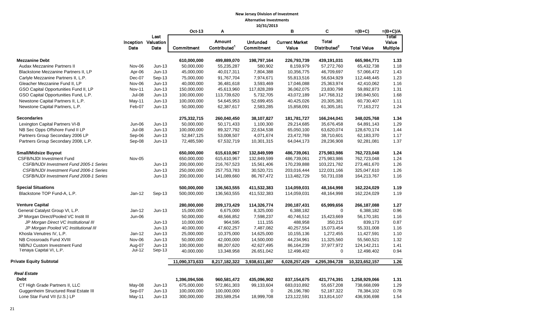#### **New Jersey Division of Investment Alternative Investments**

|                                         |               |                                     |                   |                                    | 10/31/2013                    |                                |                                          |                    |                                   |
|-----------------------------------------|---------------|-------------------------------------|-------------------|------------------------------------|-------------------------------|--------------------------------|------------------------------------------|--------------------|-----------------------------------|
|                                         |               |                                     | Oct-13            | Α                                  |                               | в                              | C                                        | $=(B+C)$           | $=(B+C)/A$                        |
|                                         | Date          | Last<br>Inception Valuation<br>Date | <b>Commitment</b> | Amount<br>Contributed <sup>1</sup> | <b>Unfunded</b><br>Commitment | <b>Current Market</b><br>Value | <b>Total</b><br>Distributed <sup>2</sup> | <b>Total Value</b> | Total<br>Value<br><b>Multiple</b> |
| <b>Mezzanine Debt</b>                   |               |                                     | 610,000,000       | 499,889,070                        | 198,797,164                   | 226,793,739                    | 439,191,031                              | 665,984,771        | 1.33                              |
| <b>Audax Mezzanine Partners II</b>      | Nov-06        | $Jun-13$                            | 50,000,000        | 55,235,287                         | 580,902                       | 8,159,979                      | 57,272,760                               | 65,432,738         | 1.18                              |
| Blackstone Mezzanine Partners II, LP    | Apr-06        | $Jun-13$                            | 45,000,000        | 40,017,311                         | 7,804,388                     | 10,356,775                     | 46,709,697                               | 57,066,472         | 1.43                              |
| Carlyle Mezzanine Partners II, L.P.     | Dec-07        | $Sep-13$                            | 75,000,000        | 91,767,704                         | 7,974,671                     | 55,813,516                     | 56,634,929                               | 112,448,445        | 1.23                              |
| Gleacher Mezzanine Fund II, LP          | Nov-06        | $Jun-13$                            | 40,000,000        | 36,481,618                         | 3,593,469                     | 17,046,088                     | 25,363,974                               | 42,410,062         | 1.16                              |
| GSO Capital Opportunities Fund II, LP   | <b>Nov-11</b> | $Jun-13$                            | 150,000,000       | 45,613,960                         | 117,828,289                   | 36,062,075                     | 23,830,798                               | 59,892,873         | 1.31                              |
| GSO Capital Opportunities Fund, L.P.    | <b>Jul-08</b> | $Jun-13$                            | 100,000,000       | 113,739,620                        | 5,732,705                     | 43,072,189                     | 147,768,312                              | 190,840,501        | 1.68                              |
| Newstone Capital Partners II, L.P.      | May-11        | $Jun-13$                            | 100,000,000       | 54,645,953                         | 52,699,455                    | 40,425,026                     | 20,305,381                               | 60,730,407         | 1.11                              |
| Newstone Capital Partners, L.P.         | Feb-07        | $Jun-13$                            | 50,000,000        | 62,387,617                         | 2,583,285                     | 15,858,091                     | 61,305,181                               | 77,163,272         | 1.24                              |
| <b>Secondaries</b>                      |               |                                     | 275,332,715       | 260,040,450                        | 38,107,827                    | 181,781,727                    | 166,244,041                              | 348,025,768        | 1.34                              |
| Lexington Capital Partners VI-B         | Jun-06        | $Jun-13$                            | 50,000,000        | 50,171,433                         | 1,100,300                     | 29,214,685                     | 35,676,458                               | 64,891,143         | 1.29                              |
| NB Sec Opps Offshore Fund II LP         | <b>Jul-08</b> | $Jun-13$                            | 100,000,000       | 89,327,792                         | 22,634,538                    | 65,050,100                     | 63,620,074                               | 128,670,174        | 1.44                              |
| Partners Group Secondary 2006 LP        | Sep-06        | $Jun-13$                            | 52,847,125        | 53,008,507                         | 4,071,674                     | 23,472,769                     | 38,710,601                               | 62,183,370         | 1.17                              |
| Partners Group Secondary 2008, L.P.     | Sep-08        | $Jun-13$                            | 72,485,590        | 67,532,719                         | 10,301,315                    | 64,044,173                     | 28,236,908                               | 92,281,081         | 1.37                              |
| <b>Small/Midsize Buyout</b>             |               |                                     | 650,000,000       | 615,610,967                        | 132,849,599                   | 486,739,061                    | 275,983,986                              | 762,723,048        | 1.24                              |
| <b>CSFB/NJDI Investment Fund</b>        | Nov-05        |                                     | 650,000,000       | 615,610,967                        | 132,849,599                   | 486,739,061                    | 275,983,986                              | 762,723,048        | 1.24                              |
| CSFB/NJDI Investment Fund 2005-1 Series |               | $Jun-13$                            | 200,000,000       | 216,767,523                        | 15,561,406                    | 170,239,888                    | 103,221,782                              | 273,461,670        | 1.26                              |
| CSFB/NJDI Investment Fund 2006-1 Series |               | $Jun-13$                            | 250,000,000       | 257,753,783                        | 30,520,721                    | 203,016,444                    | 122,031,166                              | 325,047,610        | 1.26                              |
| CSFB/NJDI Investment Fund 2008-1 Series |               | $Jun-13$                            | 200,000,000       | 141,089,660                        | 86,767,472                    | 113,482,729                    | 50,731,038                               | 164,213,767        | 1.16                              |
| <b>Special Situations</b>               |               |                                     | 500,000,000       | 136,563,555                        | 411,532,383                   | 114,059,031                    | 48,164,998                               | 162,224,029        | 1.19                              |
| Blackstone TOP Fund-A, L.P.             | $Jan-12$      | Sep-13                              | 500,000,000       | 136,563,555                        | 411,532,383                   | 114,059,031                    | 48,164,998                               | 162,224,029        | 1.19                              |
| <b>Venture Capital</b>                  |               |                                     | 280,000,000       | 209,173,429                        | 114,326,774                   | 200,187,431                    | 65,999,656                               | 266,187,088        | 1.27                              |
| General Catalyst Group VI, L.P.         | $Jan-12$      | $Jun-13$                            | 15,000,000        | 6,675,000                          | 8,325,000                     | 6,388,182                      | $\mathbf 0$                              | 6,388,182          | 0.96                              |
| JP Morgan Direct/Pooled VC Instit III   | Jun-06        |                                     | 50,000,000        | 48,566,852                         | 7,598,237                     | 40,746,512                     | 15,423,669                               | 56,170,181         | 1.16                              |
| JP Morgan Direct VC Institutional III   |               | $Jun-13$                            | 10,000,000        | 964,595                            | 111,155                       | 488,958                        | 350,215                                  | 839,173            | 0.87                              |
| JP Morgan Pooled VC Institutional III   |               | $Jun-13$                            | 40,000,000        | 47,602,257                         | 7,487,082                     | 40,257,554                     | 15,073,454                               | 55,331,008         | 1.16                              |
| Khosla Venutres IV, L.P.                | $Jan-12$      | $Jun-13$                            | 25,000,000        | 10,375,000                         | 14,625,000                    | 10,155,136                     | 1,272,455                                | 11,427,591         | 1.10                              |
| NB Crossroads Fund XVIII                | Nov-06        | $Jun-13$                            | 50,000,000        | 42,000,000                         | 14,500,000                    | 44,234,961                     | 11,325,560                               | 55,560,521         | 1.32                              |
| NB/NJ Custom Investment Fund            | Aug-07        | $Jun-13$                            | 100,000,000       | 88,207,620                         | 42,627,495                    | 86,164,239                     | 37,977,972                               | 124,142,211        | 1.41                              |
| Tenaya Capital VI, L.P.                 | Jul-12        | Sep-13                              | 40,000,000        | 13,348,958                         | 26,651,042                    | 12,498,402                     | $\mathbf 0$                              | 12,498,402         | 0.94                              |
| <b>Private Equity Subtotal</b>          |               |                                     | 11,090,373,633    | 8,217,182,322                      | 3,938,611,887                 | 6,028,257,429                  | 4,295,394,728                            | 10,323,652,157     | 1.26                              |
| <b>Real Estate</b>                      |               |                                     |                   |                                    |                               |                                |                                          |                    |                                   |
| <b>Debt</b>                             |               |                                     | 1,396,094,506     | 960,581,472                        | 435,096,902                   | 837, 154, 675                  | 421,774,391                              | 1,258,929,066      | 1.31                              |
| CT High Grade Partners II, LLC          | May-08        | $Jun-13$                            | 675,000,000       | 572,861,303                        | 99,133,604                    | 683,010,892                    | 55,657,208                               | 738,668,099        | 1.29                              |
| Guggenheim Structured Real Estate III   | Sep-07        | $Jun-13$                            | 100,000,000       | 100,000,000                        | $\mathbf 0$                   | 26,196,780                     | 52,187,322                               | 78,384,102         | 0.78                              |
| Lone Star Fund VII (U.S.) LP            | $May-11$      | $Jun-13$                            | 300,000,000       | 283,589,254                        | 18,999,708                    | 123,122,591                    | 313,814,107                              | 436,936,698        | 1.54                              |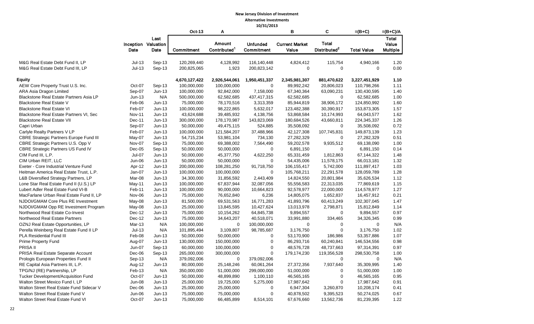#### **New Jersey Division of Investment Alternative Investments**

|                                                                       | 10/31/2013           |                                     |                            |                                    |                               |                                |                                          |                    |                                          |  |
|-----------------------------------------------------------------------|----------------------|-------------------------------------|----------------------------|------------------------------------|-------------------------------|--------------------------------|------------------------------------------|--------------------|------------------------------------------|--|
|                                                                       |                      |                                     | <b>Oct-13</b>              | Α                                  |                               | в                              | C                                        | $=(B+C)$           | $=(B+C)/A$                               |  |
|                                                                       | Date                 | Last<br>Inception Valuation<br>Date | Commitment                 | Amount<br>Contributed <sup>1</sup> | <b>Unfunded</b><br>Commitment | <b>Current Market</b><br>Value | <b>Total</b><br>Distributed <sup>2</sup> | <b>Total Value</b> | <b>Total</b><br>Value<br><b>Multiple</b> |  |
| M&G Real Estate Debt Fund II, LP<br>M&G Real Estate Debt Fund III, LP | $Jul-13$<br>$Jul-13$ | Sep-13<br>Sep-13                    | 120,269,440<br>200,825,065 | 4,128,992<br>1,923                 | 116,140,448<br>200,823,142    | 4,824,412<br>0                 | 115,754<br>$\mathbf 0$                   | 4,940,166<br>0     | 1.20<br>0.00                             |  |
|                                                                       |                      |                                     |                            |                                    |                               |                                |                                          |                    |                                          |  |
| <b>Equity</b>                                                         |                      |                                     | 4,670,127,422              | 2,926,544,061                      | 1,950,451,337                 | 2,345,981,307                  | 881,470,622                              | 3,227,451,929      | 1.10                                     |  |
| AEW Core Property Trust U.S. Inc.                                     | Oct-07               | Sep-13                              | 100,000,000                | 100,000,000                        | $\mathbf 0$                   | 89,992,242                     | 20,806,023                               | 110,798,266        | 1.11                                     |  |
| ARA Asia Dragon Limited                                               | Sep-07               | $Jun-13$                            | 100,000,000                | 92,842,000                         | 7,158,000                     | 67,340,364                     | 63,090,231                               | 130,430,595        | 1.40                                     |  |
| Blackstone Real Estate Partners Asia LP                               | $Jun-13$             | N/A                                 | 500,000,000                | 62,582,685                         | 437,417,315                   | 62,582,685                     | 0                                        | 62,582,685         | 1.00                                     |  |
| <b>Blackstone Real Estate V</b>                                       | Feb-06               | $Jun-13$                            | 75,000,000                 | 78,170,516                         | 3,313,359                     | 85,944,819                     | 38,906,172                               | 124,850,992        | 1.60                                     |  |
| <b>Blackstone Real Estate VI</b>                                      | Feb-07               | $Jun-13$                            | 100,000,000                | 98,222,865                         | 5,632,017                     | 123,482,388                    | 30,390,917                               | 153,873,305        | 1.57                                     |  |
| Blackstone Real Estate Partners VI, Sec                               | <b>Nov-11</b>        | $Jun-13$                            | 43,624,688                 | 39,485,932                         | 4,138,756                     | 53,868,584                     | 10,174,993                               | 64,043,577         | 1.62                                     |  |
| <b>Blackstone Real Estate VII</b>                                     | Dec-11               | $Jun-13$                            | 300,000,000                | 178,170,987                        | 143,823,069                   | 180,684,526                    | 43,660,811                               | 224,345,337        | 1.26                                     |  |
| Capri Urban                                                           | Sep-07               | $Jun-13$                            | 50,000,000                 | 49,475,115                         | 524,885                       | 35,508,092                     | 0                                        | 35,508,092         | 0.72                                     |  |
| Carlyle Realty Partners V LP                                          | Feb-07               | $Jun-13$                            | 100,000,000                | 121,584,207                        | 37,488,966                    | 42,127,308                     | 107,745,831                              | 149,873,139        | 1.23                                     |  |
| <b>CBRE Strategic Partners Europe Fund III</b>                        | May-07               | $Jun-13$                            | 54,715,234                 | 53,981,104                         | 734,130                       | 27,282,329                     | 0                                        | 27,282,329         | 0.51                                     |  |
| CBRE Strategic Partners U.S. Opp V                                    | Nov-07               | Sep-13                              | 75,000,000                 | 69,388,002                         | 7,564,490                     | 59,202,578                     | 9,935,512                                | 69,138,090         | 1.00                                     |  |
| CBRE Strategic Partners US Fund IV                                    | Dec-05               | Sep-13                              | 50,000,000                 | 50,000,000                         | 0                             | 6,891,150                      | $\mathbf 0$                              | 6,891,150          | 0.14                                     |  |
| CIM Fund III, L.P.                                                    | Jul-07               | $Jun-13$                            | 50,000,000                 | 45,377,750                         | 4,622,250                     | 65,331,459                     | 1,812,863                                | 67,144,322         | 1.48                                     |  |
| CIM Urban REIT, LLC                                                   | Jun-06               | $Jun-13$                            | 50,000,000                 | 50,000,000                         | 0                             | 54,435,006                     | 11,578,175                               | 66,013,181         | 1.32                                     |  |
| Exeter - Core Industrial Venture Fund                                 | Apr-12               | $Jun-13$                            | 200,000,000                | 108,281,250                        | 91,718,750                    | 106, 155, 417                  | 5,742,000                                | 111,897,417        | 1.03                                     |  |
| Heitman America Real Estate Trust, L.P.                               | Jan-07               | $Jun-13$                            | 100,000,000                | 100,000,000                        | 0                             | 105,768,211                    | 22,291,578                               | 128,059,789        | 1.28                                     |  |
| L&B Diversified Strategy Partners, LP                                 | Mar-08               | $Jun-13$                            | 34,300,000                 | 31,856,592                         | 2,443,409                     | 14,824,550                     | 20,801,984                               | 35,626,534         | 1.12                                     |  |
| Lone Star Real Estate Fund II (U.S.) LP                               | May-11               | $Jun-13$                            | 100,000,000                | 67,837,944                         | 32,087,056                    | 55,556,583                     | 22,313,035                               | 77,869,619         | 1.15                                     |  |
| Lubert Adler Real Estate Fund VI-B                                    | Feb-11               | $Jun-13$                            | 100,000,000                | 90,000,000                         | 10,664,823                    | 92,578,977                     | 22,000,000                               | 114,578,977        | 1.27                                     |  |
| MacFarlane Urban Real Estate Fund II, LP                              | Nov-06               | $Jun-13$                            | 75,000,000                 | 76,652,840                         | 6,236                         | 14,805,075                     | 1,652,837                                | 16,457,912         | 0.21                                     |  |
| NJDOI/GMAM Core Plus RE Investment                                    | May-08               | $Jun-13$                            | 81,500,000                 | 69,531,563                         | 16,771,283                    | 41,893,796                     | 60,413,249                               | 102,307,045        | 1.47                                     |  |
| NJDOI/GMAM Opp RE Investment Program                                  | May-08               | $Jun-13$                            | 25,000,000                 | 13,845,595                         | 10,427,624                    | 13,013,978                     | 2,798,871                                | 15,812,849         | 1.14                                     |  |
| Northwood Real Estate Co-Invest                                       | Dec-12               | $Jun-13$                            | 75,000,000                 | 10,154,262                         | 64,845,738                    | 9,894,557                      | 0                                        | 9,894,557          | 0.97                                     |  |
| Northwood Real Estate Partners                                        | Dec-12               | $Jun-13$                            | 75,000,000                 | 34,643,207                         | 40,518,071                    | 33,991,880                     | 334,465                                  | 34,326,345         | 0.99                                     |  |
| OZNJ Real Estate Opportunities, LP                                    | Mar-13               | N/A                                 | 100,000,000                | 0                                  | 100,000,000                   | 0                              | 0                                        | 0                  | N/A                                      |  |
| Perella Weinberg Real Estate Fund II LP                               | $Jul-13$             | N/A                                 | 101,895,494                | 3,109,807                          | 98,785,687                    | 3,176,750                      | $\mathbf 0$                              | 3,176,750          | 1.02                                     |  |
| PLA Residential Fund III                                              | Feb-08               | $Jun-13$                            | 50,000,000                 | 50,000,000                         | 0                             | 53,170,900                     | 186,986                                  | 53,357,886         | 1.07                                     |  |
| <b>Prime Property Fund</b>                                            | Aug-07               | $Jun-13$                            | 130,000,000                | 150,000,000                        | 0                             | 86,293,716                     | 60,240,841                               | 146,534,556        | 0.98                                     |  |
| PRISA II                                                              | Jun-07               | Sep-13                              | 60,000,000                 | 100,000,000                        | 0                             | 48,576,728                     | 48,737,663                               | 97,314,391         | 0.97                                     |  |
| PRISA Real Estate Separate Account                                    | Dec-06               | Sep-13                              | 265,000,000                | 300,000,000                        | 0                             | 179,174,230                    | 119,356,528                              | 298,530,758        | 1.00                                     |  |
| Prologis European Properties Fund II                                  | Sep-13               | N/A                                 | 379,092,006                | 0                                  | 379,092,006                   |                                | $\mathbf{0}$                             | $\mathbf{0}$       | N/A                                      |  |
| RE Capital Asia Partners III, L.P.                                    | Aug-12               | Jun-13                              | 80,000,000                 | 25,148,246                         | 60,061,264                    | 27,372,356                     | 7,937,640                                | 35,309,995         | 1.40                                     |  |
| TPG/NJ (RE) Partnership, LP                                           | Feb-13               | N/A                                 | 350,000,000                | 51,000,000                         | 299,000,000                   | 51,000,000                     | 0                                        | 51,000,000         | 1.00                                     |  |
| Tucker Development/Acquisition Fund                                   | Oct-07               | $Jun-13$                            | 50,000,000                 | 48,899,890                         | 1,100,110                     | 46,565,165                     | 0                                        | 46,565,165         | 0.95                                     |  |
| Walton Street Mexico Fund I, LP                                       | Jun-08               | $Jun-13$                            | 25,000,000                 | 19,725,000                         | 5,275,000                     | 17,987,642                     | 0                                        | 17,987,642         | 0.91                                     |  |
| Walton Street Real Estate Fund Sidecar V                              | Dec-06               | $Jun-13$                            | 25,000,000                 | 25,000,000                         | 0                             | 6,947,304                      | 3,260,870                                | 10,208,174         | 0.41                                     |  |
| Walton Street Real Estate Fund V                                      | Jun-06               | $Jun-13$                            | 75,000,000                 | 75,000,000                         | 0                             | 40,878,502                     | 9,395,523                                | 50,274,025         | 0.67                                     |  |
| Walton Street Real Estate Fund VI                                     | Oct-07               | $Jun-13$                            | 75,000,000                 | 66,485,899                         | 8,514,101                     | 67,676,660                     | 13,562,736                               | 81,239,395         | 1.22                                     |  |
|                                                                       |                      |                                     |                            |                                    |                               |                                |                                          |                    |                                          |  |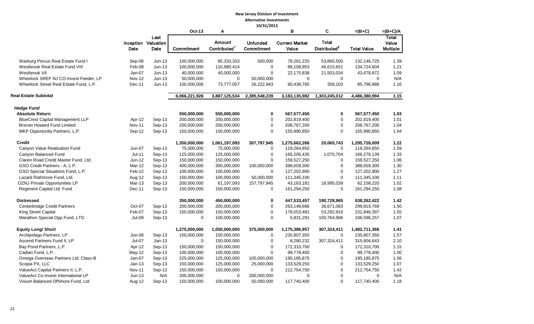#### **New Jersey Division of Investment Alternative Investments 10/31/2013**

|                                         |               |                                     |               |                                           | 10/31/2013                    |                                |                                          |                    |                                   |
|-----------------------------------------|---------------|-------------------------------------|---------------|-------------------------------------------|-------------------------------|--------------------------------|------------------------------------------|--------------------|-----------------------------------|
|                                         |               |                                     | Oct-13        | Α                                         |                               | в                              | C                                        | $=(B+C)$           | $=(B+C)/A$                        |
|                                         | Date          | Last<br>Inception Valuation<br>Date | Commitment    | <b>Amount</b><br>Contributed <sup>1</sup> | <b>Unfunded</b><br>Commitment | <b>Current Market</b><br>Value | <b>Total</b><br>Distributed <sup>2</sup> | <b>Total Value</b> | Total<br>Value<br><b>Multiple</b> |
|                                         |               |                                     |               |                                           |                               |                                |                                          |                    |                                   |
| Warburg Pincus Real Estate Fund I       | Sep-06        | $Jun-13$                            | 100,000,000   | 95,333,333                                | 500,000                       | 78,281,225                     | 53,865,500                               | 132,146,725        | 1.39                              |
| Westbrook Real Estate Fund VIII         | Feb-08        | $Jun-13$                            | 100,000,000   | 110,980,414                               | $\mathbf 0$                   | 88,108,953                     | 46,615,651                               | 134,724,604        | 1.21                              |
| Westbrook VII                           | Jan-07        | $Jun-13$                            | 40,000,000    | 40,000,000                                | $\mathbf 0$                   | 22,175,838                     | 21,503,034                               | 43,678,872         | 1.09                              |
| Wheelock SREF NJ CO-Invest Feeder, LP   | <b>Nov-12</b> | $Jun-13$                            | 50,000,000    | $\mathbf 0$                               | 50,000,000                    | $\Omega$                       | $\Omega$                                 | $\Omega$           | N/A                               |
| Wheelock Street Real Estate Fund, L.P.  | Dec-11        | $Jun-13$                            | 100,000,000   | 73,777,057                                | 26,222,943                    | 85,438,785                     | 358,103                                  | 85,796,888         | 1.16                              |
| <b>Real Estate Subtotal</b>             |               |                                     | 6,066,221,928 | 3,887,125,534                             | 2,385,548,239                 | 3,183,135,982                  | 1,303,245,012                            | 4,486,380,994      | 1.15                              |
| <b>Hedge Fund</b>                       |               |                                     |               |                                           |                               |                                |                                          |                    |                                   |
| <b>Absolute Return</b>                  |               |                                     | 550,000,000   | 550,000,000                               | $\mathbf 0$                   | 567,577,450                    | 0                                        | 567,577,450        | 1.03                              |
| <b>BlueCrest Capital Management LLP</b> | Apr-12        | Sep-13                              | 200,000,000   | 200,000,000                               | 0                             | 202,819,400                    | $\mathbf 0$                              | 202,819,400        | 1.01                              |
| Brevan Howard Fund Limited              | <b>Nov-11</b> | Sep-13                              | 200,000,000   | 200,000,000                               | 0                             | 208,767,200                    | $\mathbf 0$                              | 208,767,200        | 1.04                              |
| MKP Opportunity Partners, L.P.          | Sep-12        | Sep-13                              | 150,000,000   | 150,000,000                               | $\mathbf 0$                   | 155,990,850                    | $\Omega$                                 | 155,990,850        | 1.04                              |
| Credit                                  |               |                                     | 1,350,000,000 | 1,061,197,093                             | 307,797,945                   | 1,275,662,266                  | 20,065,743                               | 1,295,728,009      | 1.22                              |
| Canyon Value Realization Fund           | Jun-07        | Sep-13                              | 75,000,000    | 75,000,000                                | $\Omega$                      | 119,264,850                    | $\mathbf 0$                              | 119,264,850        | 1.59                              |
| Canyon Balanced Fund                    | $Jul-11$      | Sep-13                              | 125,000,000   | 125,000,000                               | $\mathbf 0$                   | 165,205,435                    | 1,070,704                                | 166,276,139        | 1.33                              |
| Claren Road Credit Master Fund, Ltd.    | Jun-12        | Sep-13                              | 150,000,000   | 150,000,000                               | $\mathbf 0$                   | 159,527,250                    | $\mathbf 0$                              | 159,527,250        | 1.06                              |
| GSO Credit Partners - A, L.P.           | Mar-12        | $Sep-13$                            | 400,000,000   | 300,000,000                               | 100,000,000                   | 388,659,300                    | $\mathbf 0$                              | 388,659,300        | 1.30                              |
| GSO Special Situations Fund, L.P.       | Feb-12        | Sep-13                              | 100,000,000   | 100,000,000                               | $\Omega$                      | 127,202,900                    | $\mathbf 0$                              | 127,202,900        | 1.27                              |
| Lazard Rathmore Fund, Ltd.              | Aug-12        | Sep-13                              | 150,000,000   | 100,000,000                               | 50,000,000                    | 111,345,100                    | 0                                        | 111,345,100        | 1.11                              |
| <b>OZNJ Private Opportunities LP</b>    | Mar-13        | $Sep-13$                            | 200,000,000   | 61,197,093                                | 157,797,945                   | 43,163,181                     | 18,995,039                               | 62,158,220         | 1.02                              |
| Regiment Capital Ltd. Fund              | Dec-11        | Sep-13                              | 150,000,000   | 150,000,000                               | $\Omega$                      | 161,294,250                    | $\mathbf 0$                              | 161,294,250        | 1.08                              |
| Distressed                              |               |                                     | 350,000,000   | 450,000,000                               | 0                             | 447,533,457                    | 190,728,965                              | 638,262,422        | 1.42                              |
| Centerbridge Credit Partners            | Oct-07        | Sep-13                              | 200,000,000   | 200,000,000                               | $\mathbf 0$                   | 263,148,686                    | 36,671,083                               | 299,819,769        | 1.50                              |
| King Street Capital                     | Feb-07        | Sep-13                              | 150,000,000   | 150,000,000                               | 0                             | 178,553,481                    | 53,292,916                               | 231,846,397        | 1.55                              |
| Marathon Special Opp Fund, LTD          | $Jul-08$      | Sep-13                              | $\mathbf 0$   | 100,000,000                               | $\mathbf 0$                   | 5,831,291                      | 100,764,966                              | 106,596,257        | 1.07                              |
| <b>Equity Long/ Short</b>               |               |                                     | 1,275,000,000 | 1,050,000,000                             | 375,000,000                   | 1,175,386,957                  | 307,324,411                              | 1,482,711,368      | 1.41                              |
| Archipelago Partners, LP                | Jun-06        | Sep-13                              | 150,000,000   | 150,000,000                               | $\mathbf 0$                   | 235,807,350                    | $\mathbf 0$                              | 235,807,350        | 1.57                              |
| Ascend Partners Fund II, LP             | Jul-07        | $Jan-13$                            | $\Omega$      | 150,000,000                               | $\mathbf 0$                   | 8,280,232                      | 307,324,411                              | 315,604,643        | 2.10                              |
| Bay Pond Partners, L.P.                 | Apr-12        | Sep-13                              | 150,000,000   | 150,000,000                               | $\mathbf 0$                   | 172,310,700                    | 0                                        | 172,310,700        | 1.15                              |
| Cadian Fund, L.P.                       | May-12        | Sep-13                              | 100,000,000   | 100,000,000                               | $\mathbf 0$                   | 99,778,400                     | $\mathbf 0$                              | 99,778,400         | 1.00                              |
| Omega Overseas Partners Ltd. Class-B    | Jan-07        | $Sep-13$                            | 225,000,000   | 125,000,000                               | 100,000,000                   | 195, 185, 875                  | $\pmb{0}$                                | 195,185,875        | 1.56                              |
| Scopia PX, LLC                          | $Jan-13$      | $Sep-13$                            | 150,000,000   | 125,000,000                               | 25,000,000                    | 133,529,250                    | $\mathbf 0$                              | 133,529,250        | 1.07                              |
| ValueAct Capital Partners II, L.P.      | <b>Nov-11</b> | Sep-13                              | 150,000,000   | 150,000,000                               | $\mathbf 0$                   | 212,754,750                    | $\mathbf 0$                              | 212,754,750        | 1.42                              |
| ValueAct Co-Invest International LP     | $Jun-13$      | N/A                                 | 200,000,000   | 0                                         | 200,000,000                   | 0                              | $\mathbf 0$                              | 0                  | N/A                               |
| Visium Balanced Offshore Fund, Ltd      | Aug-12        | $Sep-13$                            | 150,000,000   | 100,000,000                               | 50,000,000                    | 117,740,400                    | $\Omega$                                 | 117,740,400        | 1.18                              |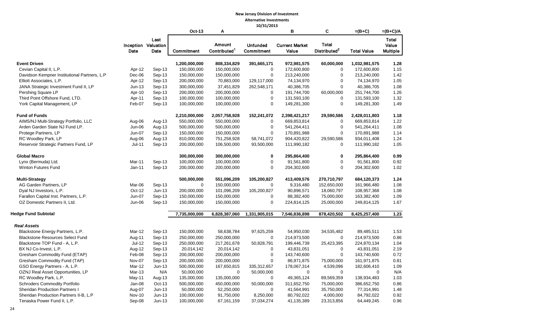# **New Jersey Division of Investment**

**Alternative Investments 10/31/2013**

|                                              |                  |                                            |                   |                                    | 10/31/2013                    |                                |                                          |                    |                                   |
|----------------------------------------------|------------------|--------------------------------------------|-------------------|------------------------------------|-------------------------------|--------------------------------|------------------------------------------|--------------------|-----------------------------------|
|                                              |                  |                                            | <b>Oct-13</b>     | A                                  |                               | В                              | C                                        | $=(B+C)$           | $=(B+C)/A$                        |
|                                              | Date             | Last<br><b>Inception Valuation</b><br>Date | <b>Commitment</b> | Amount<br>Contributed <sup>1</sup> | <b>Unfunded</b><br>Commitment | <b>Current Market</b><br>Value | <b>Total</b><br>Distributed <sup>2</sup> | <b>Total Value</b> | Total<br>Value<br><b>Multiple</b> |
|                                              |                  |                                            |                   |                                    |                               |                                |                                          |                    |                                   |
| <b>Event Driven</b>                          |                  |                                            | 1,200,000,000     | 808,334,829                        | 391,665,171                   | 972,981,575                    | 60,000,000                               | 1,032,981,575      | 1.28                              |
| Cevian Capital II, L.P.                      | Apr-12           | Sep-13                                     | 150,000,000       | 150,000,000                        | 0                             | 172,600,800                    | 0                                        | 172,600,800        | 1.15                              |
| Davidson Kempner Institutional Partners, L.P | Dec-06           | Sep-13                                     | 150,000,000       | 150,000,000                        | 0                             | 213,240,000                    | 0                                        | 213,240,000        | 1.42                              |
| Elliott Associates, L.P.                     | Apr-12           | Sep-13                                     | 200,000,000       | 70,883,000                         | 129,117,000                   | 74,134,970                     | 0                                        | 74,134,970         | 1.05                              |
| JANA Strategic Investment Fund II, LP        | $Jun-13$         | Sep-13                                     | 300,000,000       | 37,451,829                         | 262,548,171                   | 40,386,705                     | $\mathbf 0$                              | 40,386,705         | 1.08                              |
| Pershing Square LP                           | Apr-10           | Sep-13                                     | 200,000,000       | 200,000,000                        | 0                             | 191,744,700                    | 60,000,000                               | 251,744,700        | 1.26                              |
| Third Point Offshore Fund, LTD.              | Apr-11           | Sep-13                                     | 100,000,000       | 100,000,000                        | $\mathbf 0$                   | 131,593,100                    | 0                                        | 131,593,100        | 1.32                              |
| York Capital Management, LP                  | Feb-07           | Sep-13                                     | 100,000,000       | 100,000,000                        | 0                             | 149,281,300                    | $\mathbf 0$                              | 149,281,300        | 1.49                              |
| <b>Fund of Funds</b>                         |                  |                                            | 2,210,000,000     | 2,057,758,928                      | 152,241,072                   | 2,398,421,217                  | 29,590,586                               | 2,428,011,803      | 1.18                              |
| AIMS/NJ Multi-Strategy Portfolio, LLC        | Aug-06           | Aug-13                                     | 550,000,000       | 550,000,000                        | 0                             | 669,853,814                    | 0                                        | 669,853,814        | 1.22                              |
| Arden Garden State NJ Fund LP.               | Jun-06           | Aug-13                                     | 500,000,000       | 500,000,000                        | 0                             | 541,264,411                    | 0                                        | 541,264,411        | 1.08                              |
| Protege Partners, LP                         | Jun-07           | Sep-13                                     | 150,000,000       | 150,000,000                        | 0                             | 170,891,988                    | $\mathbf 0$                              | 170,891,988        | 1.14                              |
| RC Woodley Park, LP                          | Aug-06           | Aug-13                                     | 810,000,000       | 751,258,928                        | 58,741,072                    | 904,420,822                    | 29,590,586                               | 934,011,408        | 1.24                              |
| Reservoir Strategic Partners Fund, LP        | $Jul-11$         | Sep-13                                     | 200,000,000       | 106,500,000                        | 93,500,000                    | 111,990,182                    | 0                                        | 111,990,182        | 1.05                              |
| <b>Global Macro</b>                          |                  |                                            | 300,000,000       | 300,000,000                        | $\mathbf 0$                   | 295,864,400                    | 0                                        | 295,864,400        | 0.99                              |
| Lynx (Bermuda) Ltd.                          | Mar-11           | Sep-13                                     | 100,000,000       | 100,000,000                        | 0                             | 91,561,800                     | 0                                        | 91,561,800         | 0.92                              |
| Winton Futures Fund                          | $Jan-11$         | Sep-13                                     | 200,000,000       | 200,000,000                        | $\mathbf 0$                   | 204,302,600                    | $\mathbf 0$                              | 204,302,600        | 1.02                              |
| <b>Multi-Strategy</b>                        |                  |                                            | 500,000,000       | 551,096,209                        | 105,200,827                   | 413,409,576                    | 270,710,797                              | 684,120,373        | 1.24                              |
| AG Garden Partners, LP                       | Mar-06           | Sep-13                                     | $\mathbf 0$       | 150,000,000                        | 0                             | 9,316,480                      | 152,650,000                              | 161,966,480        | 1.08                              |
| Dyal NJ Investors, L.P.                      | Oct-12           | $Jun-13$                                   | 200,000,000       | 101,096,209                        | 105,200,827                   | 90,896,571                     | 18,060,797                               | 108,957,368        | 1.08                              |
| Farallon Capital Inst. Partners, L.P.        | Jun-07           | Sep-13                                     | 150,000,000       | 150,000,000                        | 0                             | 88,382,400                     | 75,000,000                               | 163,382,400        | 1.09                              |
| OZ Domestic Partners II, Ltd.                | Jun-06           | Sep-13                                     | 150,000,000       | 150,000,000                        | 0                             | 224,814,125                    | 25,000,000                               | 249,814,125        | 1.67                              |
| <b>Hedge Fund Subtotal</b>                   |                  |                                            | 7,735,000,000     | 6,828,387,060                      | 1,331,905,015                 | 7,546,836,898                  | 878,420,502                              | 8,425,257,400      | 1.23                              |
| Real Assets                                  |                  |                                            |                   |                                    |                               |                                |                                          |                    |                                   |
| Blackstone Energy Partners, L.P.             | Mar-12           | Sep-13                                     | 150,000,000       | 58,638,784                         | 97,625,259                    | 54,950,030                     | 34,535,482                               | 89,485,511         | 1.53                              |
| <b>Blackstone Resources Select Fund</b>      | Aug-11           | Sep-13                                     | 250,000,000       | 250,000,000                        | 0                             | 214,973,500                    | 0                                        | 214,973,500        | 0.86                              |
| Blackstone TOP Fund - A, L.P.                | $Jul-12$         | Sep-13                                     | 250,000,000       | 217,261,678                        | 50,828,791                    | 199,446,739                    | 25,423,395                               | 224,870,134        | 1.04                              |
| BX NJ Co-Invest, L.P.                        |                  |                                            | 20,014,142        |                                    | 0                             |                                | 0                                        | 43,831,051         | 2.19                              |
| Gresham Commodity Fund (ETAP)                | Aug-12<br>Feb-08 | Sep-13                                     | 200,000,000       | 20,014,142                         |                               | 43,831,051<br>143,740,600      | 0                                        | 143,740,600        | 0.72                              |
|                                              | Nov-07           | Sep-13                                     |                   | 200,000,000<br>200,000,000         | 0<br>0                        |                                |                                          |                    |                                   |
| Gresham Commodity Fund (TAP)                 |                  | Sep-13                                     | 200,000,000       |                                    |                               | 86,971,875                     | 75,000,000                               | 161,971,875        | 0.81                              |
| GSO Energy Partners - A, L.P.                | Mar-12           | $Jun-13$                                   | 500,000,000       | 167,650,815                        | 335,312,657                   | 178,067,314                    | 4,539,096                                | 182,606,410        | 1.09                              |
| OZNJ Real Asset Opportunities, LP            | Mar-13           | N/A                                        | 50,000,000        | 0                                  | 50,000,000                    | 0                              | 0                                        | 0                  | N/A                               |
| RC Woodley Park, L.P.                        | May-11           | Aug-13                                     | 135,000,000       | 135,000,000                        | 0                             | 49,365,124                     | 89,569,359                               | 138,934,483        | 1.03                              |
| <b>Schroders Commodity Portfolio</b>         | Jan-08           | Oct-13                                     | 500,000,000       | 450,000,000                        | 50,000,000                    | 311,652,750                    | 75,000,000                               | 386,652,750        | 0.86                              |
| Sheridan Production Partners I               | Aug-07           | $Jun-13$                                   | 50,000,000        | 52,250,000                         | 0                             | 41,564,991                     | 35,750,000                               | 77,314,991         | 1.48                              |
| Sheridan Production Partners II-B, L.P       | <b>Nov-10</b>    | $Jun-13$                                   | 100,000,000       | 91,750,000                         | 8,250,000                     | 80,792,022                     | 4,000,000                                | 84,792,022         | 0.92                              |
| Tenaska Power Fund II, L.P.                  | Sep-08           | $Jun-13$                                   | 100,000,000       | 67,161,159                         | 37,034,274                    | 41,135,389                     | 23,313,856                               | 64,449,245         | 0.96                              |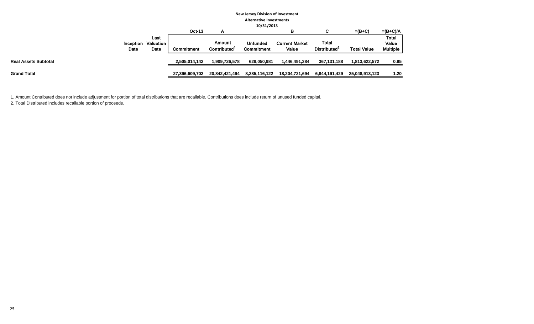|                             | <b>New Jersey Division of Investment</b><br><b>Alternative Investments</b><br>10/31/2013 |                |                                    |                                      |                                |                                          |                    |                                          |  |  |
|-----------------------------|------------------------------------------------------------------------------------------|----------------|------------------------------------|--------------------------------------|--------------------------------|------------------------------------------|--------------------|------------------------------------------|--|--|
|                             |                                                                                          | <b>Oct-13</b>  | А                                  |                                      | в                              | C                                        | $=(B+C)$           | $=(B+C)/A$                               |  |  |
| Inception<br>Date           | Last<br>Valuation<br>Date                                                                | Commitment     | Amount<br>Contributed <sup>1</sup> | <b>Unfunded</b><br><b>Commitment</b> | <b>Current Market</b><br>Value | <b>Total</b><br>Distributed <sup>2</sup> | <b>Total Value</b> | <b>Total</b><br>Value<br><b>Multiple</b> |  |  |
| <b>Real Assets Subtotal</b> |                                                                                          | 2,505,014,142  | 909,726,578. ا                     | 629,050,981                          | 1,446,491,384                  | 367,131,188                              | 1,813,622,572      | 0.95                                     |  |  |
| Grand Total                 |                                                                                          | 27,396,609,702 | 20,842,421,494                     | 8,285,116,122                        | 18,204,721,694                 | 6,844,191,429                            | 25,048,913,123     | 1.20                                     |  |  |

1. Amount Contributed does not include adjustment for portion of total distributions that are recallable. Contributions does include return of unused funded capital.

2. Total Distributed includes recallable portion of proceeds.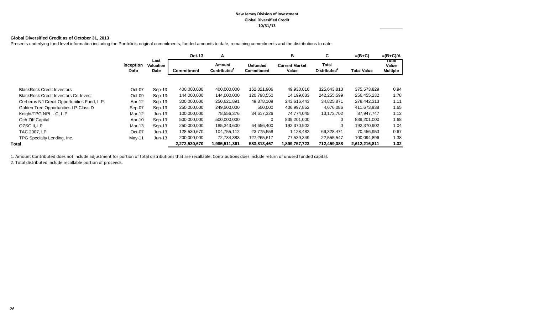#### **New Jersey Division of Investment Global Diversified Credit 10/31/13**

#### **Global Diversified Credit as of October 31, 2013**

Presents underlying fund level information including the Portfolio's original commitments, funded amounts to date, remaining commitments and the distributions to date.

|                                             |                   |                           | <b>Oct-13</b> | A                            |                        | в                              | С                                        | $=(B+C)$           | $=(B+C)/A$                        |
|---------------------------------------------|-------------------|---------------------------|---------------|------------------------------|------------------------|--------------------------------|------------------------------------------|--------------------|-----------------------------------|
|                                             | Inception<br>Date | Last<br>Valuation<br>Date | Commitment    | <b>Amount</b><br>Contributed | Unfunded<br>Commitment | <b>Current Market</b><br>Value | <b>Total</b><br>Distributed <sup>2</sup> | <b>Total Value</b> | τοται<br>Value<br><b>Multiple</b> |
|                                             |                   |                           |               |                              |                        |                                |                                          |                    |                                   |
| <b>BlackRock Credit Investors</b>           | Oct-07            | Sep-13                    | 400,000,000   | 400,000,000                  | 162,821,906            | 49,930,016                     | 325.643.813                              | 375,573,829        | 0.94                              |
| <b>BlackRock Credit Investors Co-Invest</b> | $Oct-09$          | Sep-13                    | 144,000,000   | 144,000,000                  | 120,798,550            | 14,199,633                     | 242,255,599                              | 256,455,232        | 1.78                              |
| Cerberus NJ Credit Opportunities Fund, L.P. | Apr-12            | Sep-13                    | 300,000,000   | 250,621,891                  | 49,378,109             | 243,616,443                    | 34,825,871                               | 278,442,313        | 1.11                              |
| Golden Tree Opportunities LP-Class D        | Sep-07            | Sep-13                    | 250,000,000   | 249,500,000                  | 500,000                | 406,997,852                    | 4,676,086                                | 411,673,938        | 1.65                              |
| Knight/TPG NPL - C, L.P.                    | Mar-12            | $Jun-13$                  | 100,000,000   | 78,556,376                   | 34,617,326             | 74,774,045                     | 13,173,702                               | 87,947,747         | 1.12                              |
| Och Ziff Capital                            | Apr-10            | Sep-13                    | 500,000,000   | 500,000,000                  | 0                      | 839,201,000                    | 0                                        | 839,201,000        | 1.68                              |
| OZSC II, LP                                 | Mar-13            | Sep-13                    | 250,000,000   | 185,343,600                  | 64,656,400             | 192,370,902                    | 0                                        | 192,370,902        | 1.04                              |
| <b>TAC 2007, LP</b>                         | Oct-07            | $Jun-13$                  | 128,530,670   | 104,755,112                  | 23,775,558             | 1,128,482                      | 69,328,471                               | 70,456,953         | 0.67                              |
| TPG Specialty Lending, Inc.                 | May-11            | $Jun-13$                  | 200,000,000   | 72,734,383                   | 127,265,617            | 77,539,349                     | 22,555,547                               | 100,094,896        | 1.38                              |
| Total                                       |                   |                           | 2,272,530,670 | 1,985,511,361                | 583.813.467            | 1,899,757,723                  | 712,459,088                              | 2,612,216,811      | 1.32                              |

1. Amount Contributed does not include adjustment for portion of total distributions that are recallable. Contributions does include return of unused funded capital.

2. Total distributed include recallable portion of proceeds.